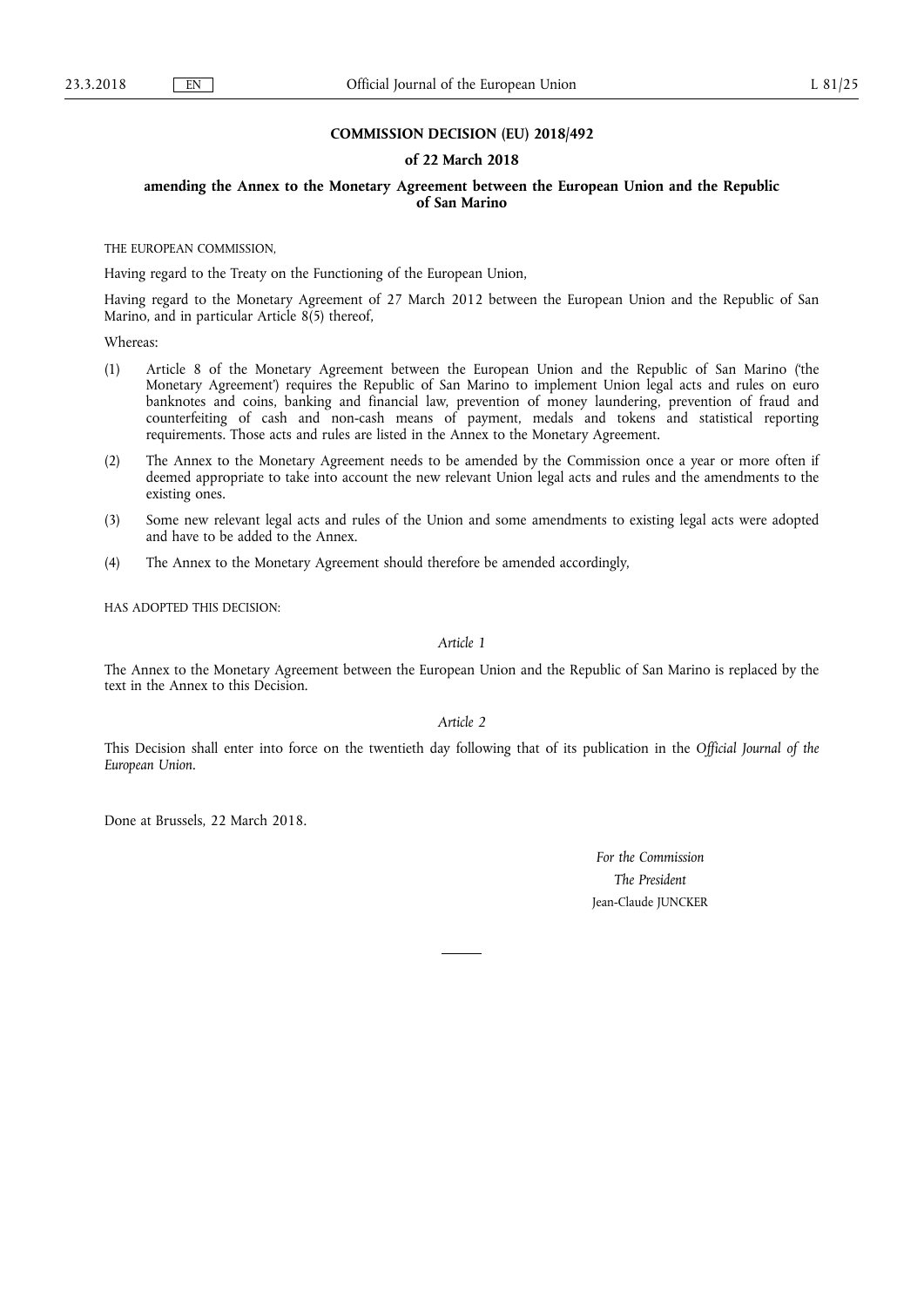### **COMMISSION DECISION (EU) 2018/492**

#### **of 22 March 2018**

### **amending the Annex to the Monetary Agreement between the European Union and the Republic of San Marino**

THE EUROPEAN COMMISSION,

Having regard to the Treaty on the Functioning of the European Union,

Having regard to the Monetary Agreement of 27 March 2012 between the European Union and the Republic of San Marino, and in particular Article 8(5) thereof,

Whereas:

- (1) Article 8 of the Monetary Agreement between the European Union and the Republic of San Marino ('the Monetary Agreement') requires the Republic of San Marino to implement Union legal acts and rules on euro banknotes and coins, banking and financial law, prevention of money laundering, prevention of fraud and counterfeiting of cash and non-cash means of payment, medals and tokens and statistical reporting requirements. Those acts and rules are listed in the Annex to the Monetary Agreement.
- (2) The Annex to the Monetary Agreement needs to be amended by the Commission once a year or more often if deemed appropriate to take into account the new relevant Union legal acts and rules and the amendments to the existing ones.
- (3) Some new relevant legal acts and rules of the Union and some amendments to existing legal acts were adopted and have to be added to the Annex.
- (4) The Annex to the Monetary Agreement should therefore be amended accordingly,

HAS ADOPTED THIS DECISION:

*Article 1* 

The Annex to the Monetary Agreement between the European Union and the Republic of San Marino is replaced by the text in the Annex to this Decision.

*Article 2* 

This Decision shall enter into force on the twentieth day following that of its publication in the *Official Journal of the European Union*.

Done at Brussels, 22 March 2018.

*For the Commission The President*  Jean-Claude JUNCKER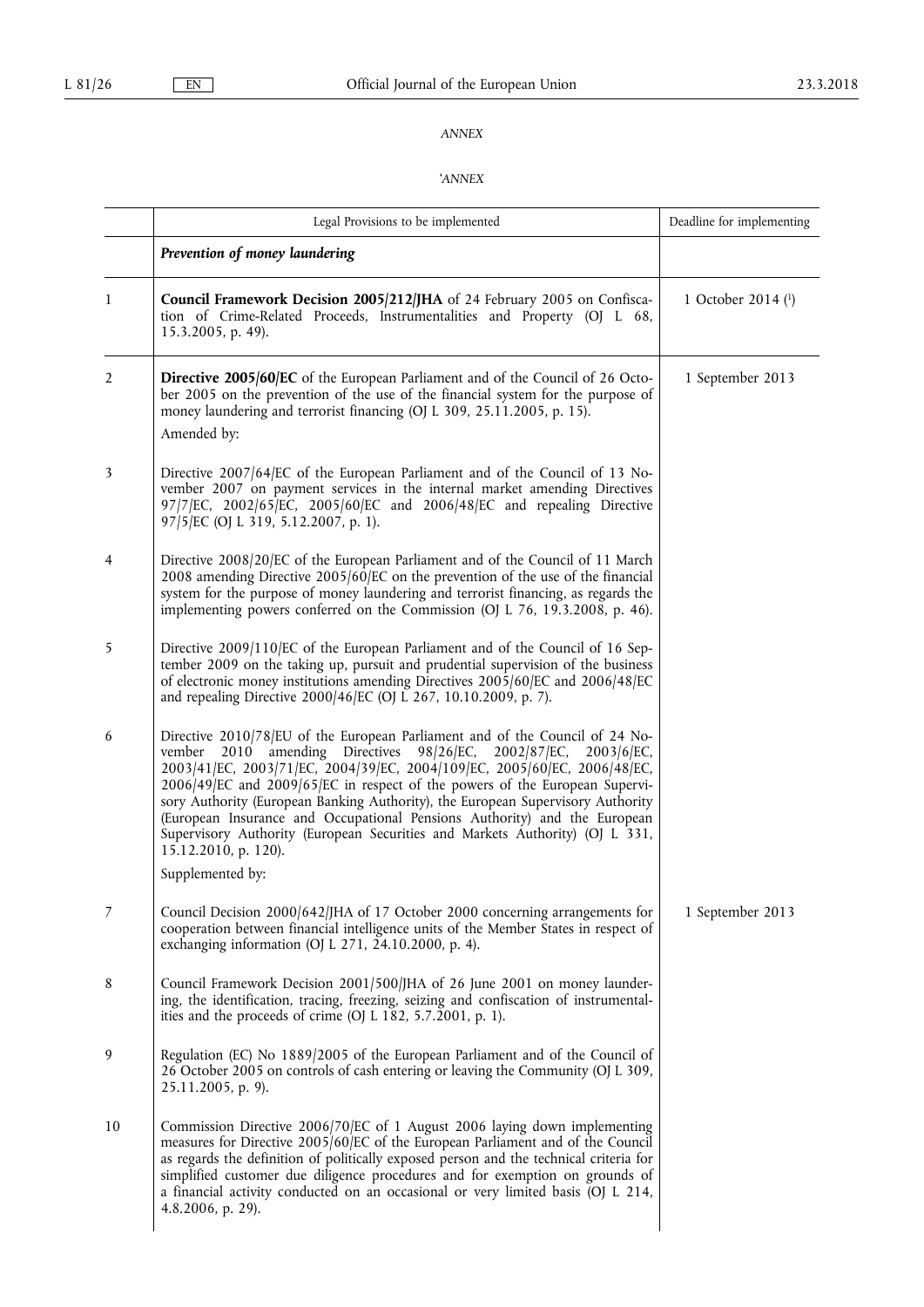## *ANNEX*

# '*ANNEX*

|                | Legal Provisions to be implemented                                                                                                                                                                                                                                                                                                                                                                                                                                                                                                                                                                                  | Deadline for implementing |
|----------------|---------------------------------------------------------------------------------------------------------------------------------------------------------------------------------------------------------------------------------------------------------------------------------------------------------------------------------------------------------------------------------------------------------------------------------------------------------------------------------------------------------------------------------------------------------------------------------------------------------------------|---------------------------|
|                | Prevention of money laundering                                                                                                                                                                                                                                                                                                                                                                                                                                                                                                                                                                                      |                           |
| 1              | Council Framework Decision 2005/212/JHA of 24 February 2005 on Confisca-<br>tion of Crime-Related Proceeds, Instrumentalities and Property (OJ L 68,<br>15.3.2005, p. 49).                                                                                                                                                                                                                                                                                                                                                                                                                                          | 1 October 2014 (1)        |
| $\overline{2}$ | Directive 2005/60/EC of the European Parliament and of the Council of 26 Octo-<br>ber 2005 on the prevention of the use of the financial system for the purpose of<br>money laundering and terrorist financing (OJ L 309, 25.11.2005, p. 15).                                                                                                                                                                                                                                                                                                                                                                       | 1 September 2013          |
|                | Amended by:                                                                                                                                                                                                                                                                                                                                                                                                                                                                                                                                                                                                         |                           |
| 3              | Directive 2007/64/EC of the European Parliament and of the Council of 13 No-<br>vember 2007 on payment services in the internal market amending Directives<br>97/7/EC, 2002/65/EC, 2005/60/EC and 2006/48/EC and repealing Directive<br>97/5/EC (OJ L 319, 5.12.2007, p. 1).                                                                                                                                                                                                                                                                                                                                        |                           |
| 4              | Directive 2008/20/EC of the European Parliament and of the Council of 11 March<br>2008 amending Directive 2005/60/EC on the prevention of the use of the financial<br>system for the purpose of money laundering and terrorist financing, as regards the<br>implementing powers conferred on the Commission (OJ L 76, 19.3.2008, p. 46).                                                                                                                                                                                                                                                                            |                           |
| 5              | Directive 2009/110/EC of the European Parliament and of the Council of 16 Sep-<br>tember 2009 on the taking up, pursuit and prudential supervision of the business<br>of electronic money institutions amending Directives 2005/60/EC and 2006/48/EC<br>and repealing Directive 2000/46/EC (OJ L 267, 10.10.2009, p. 7).                                                                                                                                                                                                                                                                                            |                           |
| 6              | Directive 2010/78/EU of the European Parliament and of the Council of 24 No-<br>2010 amending Directives 98/26/EC,<br>2002/87/EC,<br>vember<br>$2003/6$ /EC,<br>2003/41/EC, 2003/71/EC, 2004/39/EC, 2004/109/EC, 2005/60/EC, 2006/48/EC,<br>2006/49/EC and 2009/65/EC in respect of the powers of the European Supervi-<br>sory Authority (European Banking Authority), the European Supervisory Authority<br>(European Insurance and Occupational Pensions Authority) and the European<br>Supervisory Authority (European Securities and Markets Authority) (OJ L 331,<br>15.12.2010, p. 120).<br>Supplemented by: |                           |
|                |                                                                                                                                                                                                                                                                                                                                                                                                                                                                                                                                                                                                                     |                           |
| 7              | Council Decision 2000/642/JHA of 17 October 2000 concerning arrangements for<br>cooperation between financial intelligence units of the Member States in respect of<br>exchanging information (OJ L 271, 24.10.2000, p. 4).                                                                                                                                                                                                                                                                                                                                                                                         | 1 September 2013          |
| 8              | Council Framework Decision 2001/500/JHA of 26 June 2001 on money launder-<br>ing, the identification, tracing, freezing, seizing and confiscation of instrumental-<br>ities and the proceeds of crime (OJ L 182, 5.7.2001, p. 1).                                                                                                                                                                                                                                                                                                                                                                                   |                           |
| 9              | Regulation (EC) No 1889/2005 of the European Parliament and of the Council of<br>26 October 2005 on controls of cash entering or leaving the Community (OJ L 309,<br>25.11.2005, p. 9).                                                                                                                                                                                                                                                                                                                                                                                                                             |                           |
| 10             | Commission Directive 2006/70/EC of 1 August 2006 laying down implementing<br>measures for Directive 2005/60/EC of the European Parliament and of the Council<br>as regards the definition of politically exposed person and the technical criteria for<br>simplified customer due diligence procedures and for exemption on grounds of<br>a financial activity conducted on an occasional or very limited basis (OJ L 214,<br>4.8.2006, p. 29).                                                                                                                                                                     |                           |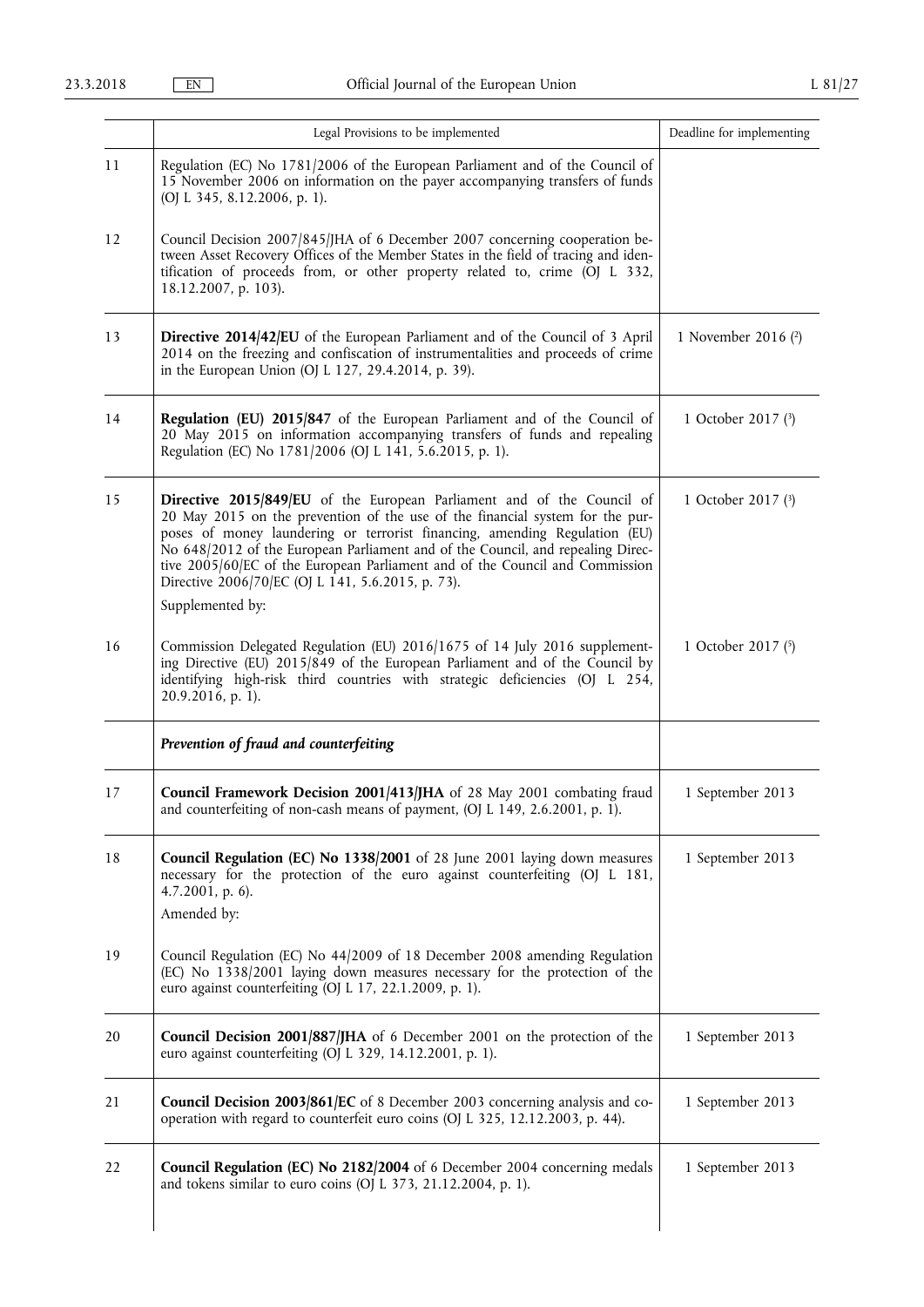|    | Legal Provisions to be implemented                                                                                                                                                                                                                                                                                                                                                                                                                                                | Deadline for implementing |
|----|-----------------------------------------------------------------------------------------------------------------------------------------------------------------------------------------------------------------------------------------------------------------------------------------------------------------------------------------------------------------------------------------------------------------------------------------------------------------------------------|---------------------------|
| 11 | Regulation (EC) No 1781/2006 of the European Parliament and of the Council of<br>15 November 2006 on information on the payer accompanying transfers of funds<br>(OJ L 345, 8.12.2006, p. 1).                                                                                                                                                                                                                                                                                     |                           |
| 12 | Council Decision 2007/845/JHA of 6 December 2007 concerning cooperation be-<br>tween Asset Recovery Offices of the Member States in the field of tracing and iden-<br>tification of proceeds from, or other property related to, crime (OJ L 332,<br>18.12.2007, p. 103).                                                                                                                                                                                                         |                           |
| 13 | Directive 2014/42/EU of the European Parliament and of the Council of 3 April<br>2014 on the freezing and confiscation of instrumentalities and proceeds of crime<br>in the European Union (OJ L 127, 29.4.2014, p. 39).                                                                                                                                                                                                                                                          | 1 November 2016 (2)       |
| 14 | Regulation (EU) 2015/847 of the European Parliament and of the Council of<br>20 May 2015 on information accompanying transfers of funds and repealing<br>Regulation (EC) No 1781/2006 (OJ L 141, 5.6.2015, p. 1).                                                                                                                                                                                                                                                                 | 1 October 2017 (3)        |
| 15 | Directive 2015/849/EU of the European Parliament and of the Council of<br>20 May 2015 on the prevention of the use of the financial system for the pur-<br>poses of money laundering or terrorist financing, amending Regulation (EU)<br>No 648/2012 of the European Parliament and of the Council, and repealing Direc-<br>tive 2005/60/EC of the European Parliament and of the Council and Commission<br>Directive 2006/70/EC (OJ L 141, 5.6.2015, p. 73).<br>Supplemented by: | 1 October 2017 $(3)$      |
| 16 | Commission Delegated Regulation (EU) 2016/1675 of 14 July 2016 supplement-<br>ing Directive (EU) 2015/849 of the European Parliament and of the Council by<br>identifying high-risk third countries with strategic deficiencies (OJ L 254,<br>20.9.2016, p. 1).                                                                                                                                                                                                                   | 1 October 2017 (5)        |
|    | Prevention of fraud and counterfeiting                                                                                                                                                                                                                                                                                                                                                                                                                                            |                           |
| 17 | Council Framework Decision 2001/413/JHA of 28 May 2001 combating fraud<br>and counterfeiting of non-cash means of payment, (OJ L 149, 2.6.2001, p. 1).                                                                                                                                                                                                                                                                                                                            | 1 September 2013          |
| 18 | Council Regulation (EC) No 1338/2001 of 28 June 2001 laying down measures<br>necessary for the protection of the euro against counterfeiting (OJ L 181,<br>$4.7.2001$ , p. 6).<br>Amended by:                                                                                                                                                                                                                                                                                     | 1 September 2013          |
| 19 | Council Regulation (EC) No 44/2009 of 18 December 2008 amending Regulation<br>(EC) No 1338/2001 laying down measures necessary for the protection of the<br>euro against counterfeiting (OJ L 17, 22.1.2009, p. 1).                                                                                                                                                                                                                                                               |                           |
| 20 | Council Decision 2001/887/JHA of 6 December 2001 on the protection of the<br>euro against counterfeiting (OJ L 329, 14.12.2001, p. 1).                                                                                                                                                                                                                                                                                                                                            | 1 September 2013          |
| 21 | Council Decision 2003/861/EC of 8 December 2003 concerning analysis and co-<br>operation with regard to counterfeit euro coins (OJ L 325, 12.12.2003, p. 44).                                                                                                                                                                                                                                                                                                                     | 1 September 2013          |
| 22 | Council Regulation (EC) No 2182/2004 of 6 December 2004 concerning medals<br>and tokens similar to euro coins (OJ L 373, 21.12.2004, p. 1).                                                                                                                                                                                                                                                                                                                                       | 1 September 2013          |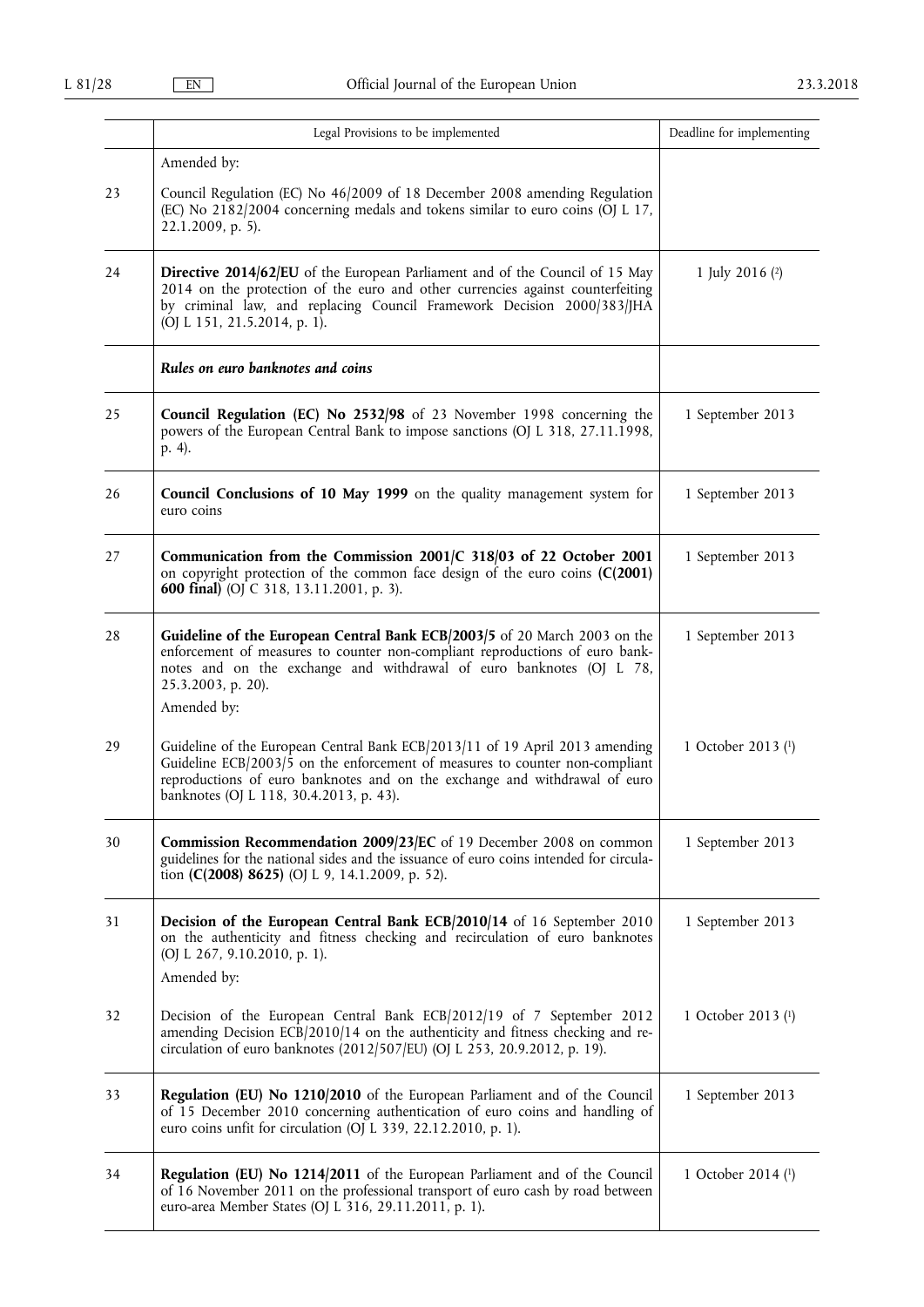|    | Legal Provisions to be implemented                                                                                                                                                                                                                                                       | Deadline for implementing |
|----|------------------------------------------------------------------------------------------------------------------------------------------------------------------------------------------------------------------------------------------------------------------------------------------|---------------------------|
|    | Amended by:                                                                                                                                                                                                                                                                              |                           |
| 23 | Council Regulation (EC) No 46/2009 of 18 December 2008 amending Regulation<br>(EC) No 2182/2004 concerning medals and tokens similar to euro coins (OJ L 17,<br>22.1.2009, p. 5).                                                                                                        |                           |
| 24 | Directive 2014/62/EU of the European Parliament and of the Council of 15 May<br>2014 on the protection of the euro and other currencies against counterfeiting<br>by criminal law, and replacing Council Framework Decision 2000/383/JHA<br>(OJ L 151, 21.5.2014, p. 1).                 | 1 July 2016 $(2)$         |
|    | Rules on euro banknotes and coins                                                                                                                                                                                                                                                        |                           |
| 25 | Council Regulation (EC) No 2532/98 of 23 November 1998 concerning the<br>powers of the European Central Bank to impose sanctions (OJ L 318, 27.11.1998,<br>p. 4).                                                                                                                        | 1 September 2013          |
| 26 | Council Conclusions of 10 May 1999 on the quality management system for<br>euro coins                                                                                                                                                                                                    | 1 September 2013          |
| 27 | Communication from the Commission 2001/C 318/03 of 22 October 2001<br>on copyright protection of the common face design of the euro coins $(C(2001)$<br><b>600 final)</b> (OJ C 318, 13.11.2001, p. 3).                                                                                  | 1 September 2013          |
| 28 | Guideline of the European Central Bank ECB/2003/5 of 20 March 2003 on the<br>enforcement of measures to counter non-compliant reproductions of euro bank-<br>notes and on the exchange and withdrawal of euro banknotes (OJ L 78,<br>25.3.2003, p. 20).<br>Amended by:                   | 1 September 2013          |
| 29 | Guideline of the European Central Bank ECB/2013/11 of 19 April 2013 amending<br>Guideline ECB $/2003/5$ on the enforcement of measures to counter non-compliant<br>reproductions of euro banknotes and on the exchange and withdrawal of euro<br>banknotes (OJ L 118, 30.4.2013, p. 43). | 1 October 2013 (1)        |
| 30 | Commission Recommendation 2009/23/EC of 19 December 2008 on common<br>guidelines for the national sides and the issuance of euro coins intended for circula-<br>tion (C(2008) 8625) (OJ L 9, 14.1.2009, p. 52).                                                                          | 1 September 2013          |
| 31 | Decision of the European Central Bank ECB/2010/14 of 16 September 2010<br>on the authenticity and fitness checking and recirculation of euro banknotes<br>(OJ L 267, 9.10.2010, p. 1).<br>Amended by:                                                                                    | 1 September 2013          |
| 32 | Decision of the European Central Bank ECB/2012/19 of 7 September 2012<br>amending Decision ECB/2010/14 on the authenticity and fitness checking and re-<br>circulation of euro banknotes (2012/507/EU) (OJ L 253, 20.9.2012, p. 19).                                                     | 1 October 2013 (1)        |
| 33 | Regulation (EU) No 1210/2010 of the European Parliament and of the Council<br>of 15 December 2010 concerning authentication of euro coins and handling of<br>euro coins unfit for circulation (OJ L 339, 22.12.2010, p. 1).                                                              | 1 September 2013          |
| 34 | <b>Regulation (EU) No 1214/2011</b> of the European Parliament and of the Council<br>of 16 November 2011 on the professional transport of euro cash by road between<br>euro-area Member States (OJ L 316, 29.11.2011, p. 1).                                                             | 1 October 2014 (1)        |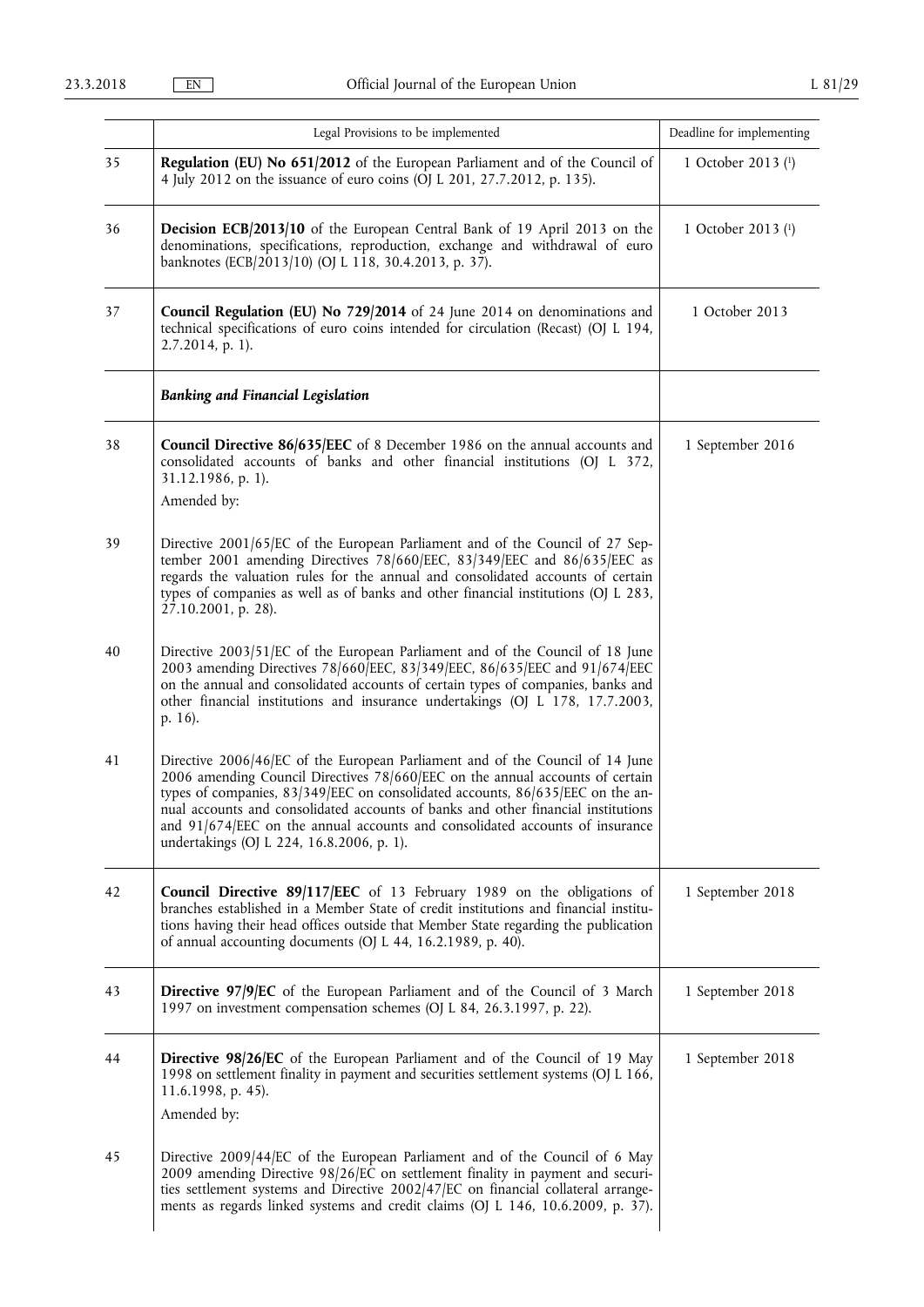|    | Legal Provisions to be implemented                                                                                                                                                                                                                                                                                                                                                                                                                                 | Deadline for implementing |
|----|--------------------------------------------------------------------------------------------------------------------------------------------------------------------------------------------------------------------------------------------------------------------------------------------------------------------------------------------------------------------------------------------------------------------------------------------------------------------|---------------------------|
| 35 | Regulation (EU) No 651/2012 of the European Parliament and of the Council of<br>4 July 2012 on the issuance of euro coins (OJ L 201, 27.7.2012, p. 135).                                                                                                                                                                                                                                                                                                           | 1 October 2013 (1)        |
| 36 | <b>Decision ECB/2013/10</b> of the European Central Bank of 19 April 2013 on the<br>denominations, specifications, reproduction, exchange and withdrawal of euro<br>banknotes (ECB/2013/10) (OJ L 118, 30.4.2013, p. 37).                                                                                                                                                                                                                                          | 1 October 2013 (1)        |
| 37 | Council Regulation (EU) No 729/2014 of 24 June 2014 on denominations and<br>technical specifications of euro coins intended for circulation (Recast) (OJ L 194,<br>2.7.2014, p. 1).                                                                                                                                                                                                                                                                                | 1 October 2013            |
|    | <b>Banking and Financial Legislation</b>                                                                                                                                                                                                                                                                                                                                                                                                                           |                           |
| 38 | Council Directive 86/635/EEC of 8 December 1986 on the annual accounts and<br>consolidated accounts of banks and other financial institutions (OJ L 372,<br>31.12.1986, p. 1).<br>Amended by:                                                                                                                                                                                                                                                                      | 1 September 2016          |
| 39 | Directive 2001/65/EC of the European Parliament and of the Council of 27 Sep-<br>tember 2001 amending Directives 78/660/EEC, 83/349/EEC and 86/635/EEC as<br>regards the valuation rules for the annual and consolidated accounts of certain<br>types of companies as well as of banks and other financial institutions (OJ L 283,<br>27.10.2001, p. 28).                                                                                                          |                           |
| 40 | Directive 2003/51/EC of the European Parliament and of the Council of 18 June<br>2003 amending Directives 78/660 EEC, 83/349 EEC, 86/635 EEC and 91/674 EEC<br>on the annual and consolidated accounts of certain types of companies, banks and<br>other financial institutions and insurance undertakings (OJ L 178, 17.7.2003,<br>p. 16).                                                                                                                        |                           |
| 41 | Directive 2006/46/EC of the European Parliament and of the Council of 14 June<br>2006 amending Council Directives 78/660/EEC on the annual accounts of certain<br>types of companies, 83/349/EEC on consolidated accounts, 86/635/EEC on the an-<br>nual accounts and consolidated accounts of banks and other financial institutions<br>and 91/674/EEC on the annual accounts and consolidated accounts of insurance<br>undertakings (OJ L 224, 16.8.2006, p. 1). |                           |
| 42 | Council Directive 89/117/EEC of 13 February 1989 on the obligations of<br>branches established in a Member State of credit institutions and financial institu-<br>tions having their head offices outside that Member State regarding the publication<br>of annual accounting documents (OJ L 44, 16.2.1989, p. 40).                                                                                                                                               | 1 September 2018          |
| 43 | Directive 97/9/EC of the European Parliament and of the Council of 3 March<br>1997 on investment compensation schemes (OJ L 84, 26.3.1997, p. 22).                                                                                                                                                                                                                                                                                                                 | 1 September 2018          |
| 44 | <b>Directive 98/26/EC</b> of the European Parliament and of the Council of 19 May<br>1998 on settlement finality in payment and securities settlement systems (OJ L 166,<br>11.6.1998, p. 45).<br>Amended by:                                                                                                                                                                                                                                                      | 1 September 2018          |
| 45 | Directive 2009/44/EC of the European Parliament and of the Council of 6 May<br>2009 amending Directive 98/26/EC on settlement finality in payment and securi-<br>ties settlement systems and Directive 2002/47/EC on financial collateral arrange-<br>ments as regards linked systems and credit claims (OJ L 146, 10.6.2009, p. 37).                                                                                                                              |                           |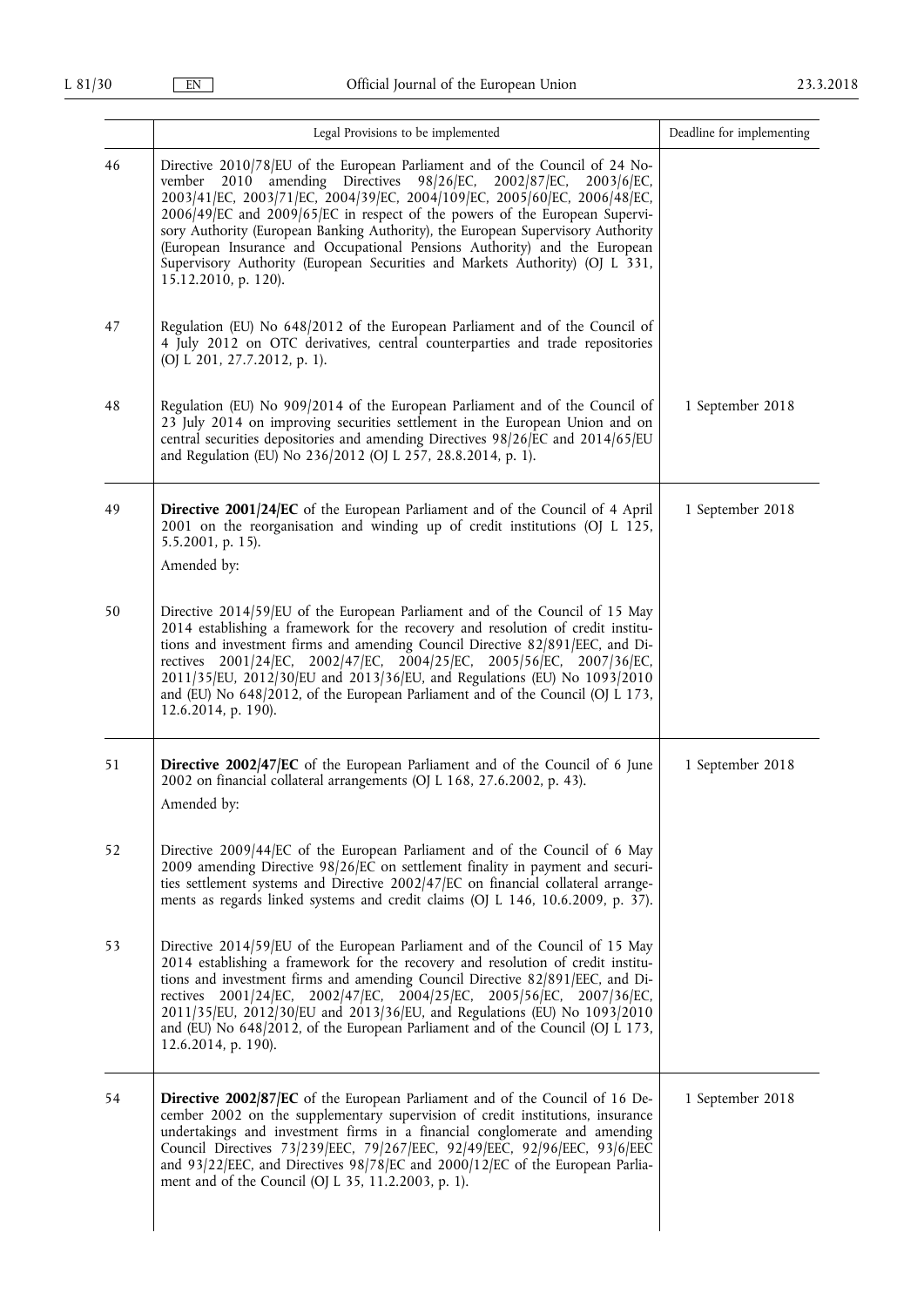|    | Legal Provisions to be implemented                                                                                                                                                                                                                                                                                                                                                                                                                                                                                                                                                           | Deadline for implementing |
|----|----------------------------------------------------------------------------------------------------------------------------------------------------------------------------------------------------------------------------------------------------------------------------------------------------------------------------------------------------------------------------------------------------------------------------------------------------------------------------------------------------------------------------------------------------------------------------------------------|---------------------------|
| 46 | Directive 2010/78/EU of the European Parliament and of the Council of 24 No-<br>2010 amending Directives 98/26/EC, 2002/87/EC,<br>vember<br>$2003/6$ /EC,<br>2003/41/EC, 2003/71/EC, 2004/39/EC, 2004/109/EC, 2005/60/EC, 2006/48/EC,<br>2006/49/EC and 2009/65/EC in respect of the powers of the European Supervi-<br>sory Authority (European Banking Authority), the European Supervisory Authority<br>(European Insurance and Occupational Pensions Authority) and the European<br>Supervisory Authority (European Securities and Markets Authority) (OJ L 331,<br>15.12.2010, p. 120). |                           |
| 47 | Regulation (EU) No 648/2012 of the European Parliament and of the Council of<br>4 July 2012 on OTC derivatives, central counterparties and trade repositories<br>(OJ L 201, 27.7.2012, p. 1).                                                                                                                                                                                                                                                                                                                                                                                                |                           |
| 48 | Regulation (EU) No 909/2014 of the European Parliament and of the Council of<br>23 July 2014 on improving securities settlement in the European Union and on<br>central securities depositories and amending Directives 98/26/EC and 2014/65/EU<br>and Regulation (EU) No 236/2012 (OJ L 257, 28.8.2014, p. 1).                                                                                                                                                                                                                                                                              | 1 September 2018          |
| 49 | <b>Directive 2001/24/EC</b> of the European Parliament and of the Council of 4 April<br>2001 on the reorganisation and winding up of credit institutions (OJ L 125,<br>5.5.2001, p. 15).<br>Amended by:                                                                                                                                                                                                                                                                                                                                                                                      | 1 September 2018          |
| 50 | Directive 2014/59/EU of the European Parliament and of the Council of 15 May<br>2014 establishing a framework for the recovery and resolution of credit institu-<br>tions and investment firms and amending Council Directive 82/891/EEC, and Di-<br>rectives 2001/24/EC, 2002/47/EC, 2004/25/EC, 2005/56/EC, 2007/36/EC,<br>2011/35/EU, 2012/30/EU and 2013/36/EU, and Regulations (EU) No 1093/2010<br>and (EU) No 648/2012, of the European Parliament and of the Council (OJ L 173,<br>12.6.2014, p. 190).                                                                               |                           |
| 51 | Directive 2002/47/EC of the European Parliament and of the Council of 6 June<br>2002 on financial collateral arrangements (OJ L 168, 27.6.2002, p. 43).<br>Amended by:                                                                                                                                                                                                                                                                                                                                                                                                                       | 1 September 2018          |
| 52 | Directive 2009/44/EC of the European Parliament and of the Council of 6 May<br>2009 amending Directive 98/26/EC on settlement finality in payment and securi-<br>ties settlement systems and Directive 2002/47/EC on financial collateral arrange-<br>ments as regards linked systems and credit claims (OJ L 146, 10.6.2009, p. 37).                                                                                                                                                                                                                                                        |                           |
| 53 | Directive 2014/59/EU of the European Parliament and of the Council of 15 May<br>2014 establishing a framework for the recovery and resolution of credit institu-<br>tions and investment firms and amending Council Directive 82/891/EEC, and Di-<br>rectives 2001/24/EC, 2002/47/EC, 2004/25/EC, 2005/56/EC, 2007/36/EC,<br>2011/35/EU, 2012/30/EU and 2013/36/EU, and Regulations (EU) No 1093/2010<br>and (EU) No 648/2012, of the European Parliament and of the Council (OJ L 173,<br>12.6.2014, p. 190).                                                                               |                           |
| 54 | <b>Directive 2002/87/EC</b> of the European Parliament and of the Council of 16 De-<br>cember 2002 on the supplementary supervision of credit institutions, insurance<br>undertakings and investment firms in a financial conglomerate and amending<br>Council Directives 73/239/EEC, 79/267/EEC, 92/49/EEC, 92/96/EEC, 93/6/EEC<br>and 93/22/EEC, and Directives 98/78/EC and 2000/12/EC of the European Parlia-<br>ment and of the Council (OJ L 35, 11.2.2003, p. 1).                                                                                                                     | 1 September 2018          |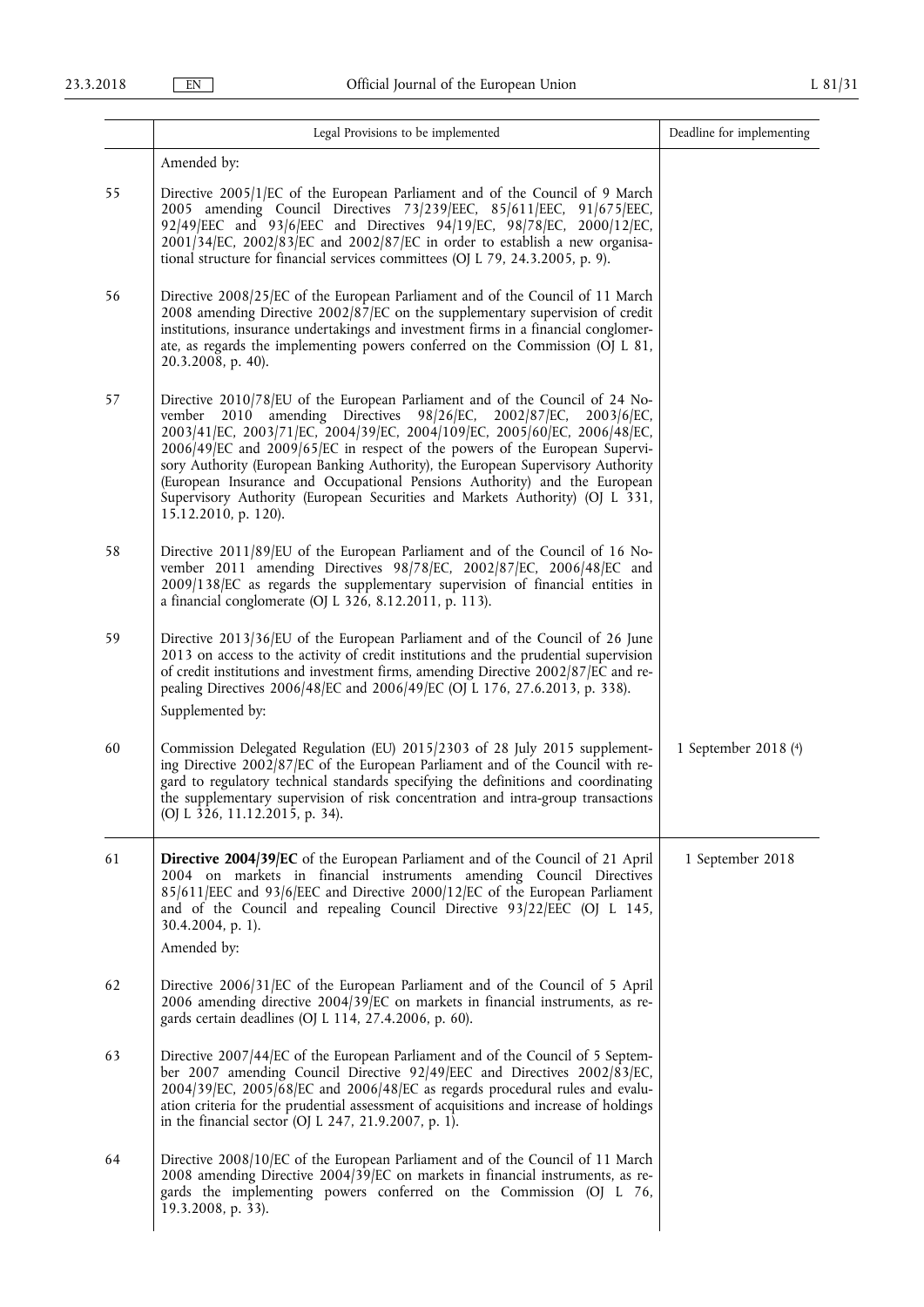|    | Legal Provisions to be implemented                                                                                                                                                                                                                                                                                                                                                                                                                                                                                                                                                              | Deadline for implementing |
|----|-------------------------------------------------------------------------------------------------------------------------------------------------------------------------------------------------------------------------------------------------------------------------------------------------------------------------------------------------------------------------------------------------------------------------------------------------------------------------------------------------------------------------------------------------------------------------------------------------|---------------------------|
|    | Amended by:                                                                                                                                                                                                                                                                                                                                                                                                                                                                                                                                                                                     |                           |
| 55 | Directive 2005/1/EC of the European Parliament and of the Council of 9 March<br>2005 amending Council Directives 73/239/EEC, 85/611/EEC, 91/675/EEC,<br>92/49/EEC and 93/6/EEC and Directives 94/19/EC, 98/78/EC, 2000/12/EC,<br>$2001/34$ [EC, $2002/83$ [EC and $2002/87$ [EC in order to establish a new organisa-<br>tional structure for financial services committees (OJ L 79, 24.3.2005, p. 9).                                                                                                                                                                                         |                           |
| 56 | Directive 2008/25/EC of the European Parliament and of the Council of 11 March<br>2008 amending Directive 2002/87/EC on the supplementary supervision of credit<br>institutions, insurance undertakings and investment firms in a financial conglomer-<br>ate, as regards the implementing powers conferred on the Commission (OJ L 81,<br>20.3.2008, p. 40).                                                                                                                                                                                                                                   |                           |
| 57 | Directive 2010/78/EU of the European Parliament and of the Council of 24 No-<br>amending Directives 98/26/EC, 2002/87/EC,<br>$2003/6$ /EC,<br>vember<br>2010<br>2003/41/EC, 2003/71/EC, 2004/39/EC, 2004/109/EC, 2005/60/EC, 2006/48/EC,<br>2006/49/EC and 2009/65/EC in respect of the powers of the European Supervi-<br>sory Authority (European Banking Authority), the European Supervisory Authority<br>(European Insurance and Occupational Pensions Authority) and the European<br>Supervisory Authority (European Securities and Markets Authority) (OJ L 331,<br>15.12.2010, p. 120). |                           |
| 58 | Directive 2011/89/EU of the European Parliament and of the Council of 16 No-<br>vember 2011 amending Directives 98/78/EC, 2002/87/EC, 2006/48/EC and<br>2009/138/EC as regards the supplementary supervision of financial entities in<br>a financial conglomerate (OJ L 326, 8.12.2011, p. 113).                                                                                                                                                                                                                                                                                                |                           |
| 59 | Directive 2013/36/EU of the European Parliament and of the Council of 26 June<br>2013 on access to the activity of credit institutions and the prudential supervision<br>of credit institutions and investment firms, amending Directive 2002/87/EC and re-<br>pealing Directives 2006/48/EC and 2006/49/EC (OJ L 176, 27.6.2013, p. 338).<br>Supplemented by:                                                                                                                                                                                                                                  |                           |
| 60 | Commission Delegated Regulation (EU) 2015/2303 of 28 July 2015 supplement-<br>ing Directive 2002/87/EC of the European Parliament and of the Council with re-<br>gard to regulatory technical standards specifying the definitions and coordinating<br>the supplementary supervision of risk concentration and intra-group transactions<br>(OJ L 326, 11.12.2015, p. 34).                                                                                                                                                                                                                       | 1 September 2018 (4)      |
| 61 | <b>Directive 2004/39/EC</b> of the European Parliament and of the Council of 21 April<br>2004 on markets in financial instruments amending Council Directives<br>85/611/EEC and 93/6/EEC and Directive 2000/12/EC of the European Parliament<br>and of the Council and repealing Council Directive 93/22/EEC (OJ L 145,<br>30.4.2004, p. 1).<br>Amended by:                                                                                                                                                                                                                                     | 1 September 2018          |
| 62 | Directive 2006/31/EC of the European Parliament and of the Council of 5 April<br>2006 amending directive 2004/39 EC on markets in financial instruments, as re-<br>gards certain deadlines (OJ L 114, 27.4.2006, p. 60).                                                                                                                                                                                                                                                                                                                                                                        |                           |
| 63 | Directive 2007/44/EC of the European Parliament and of the Council of 5 Septem-<br>ber 2007 amending Council Directive 92/49/EEC and Directives 2002/83/EC,<br>2004/39/EC, 2005/68/EC and 2006/48/EC as regards procedural rules and evalu-<br>ation criteria for the prudential assessment of acquisitions and increase of holdings<br>in the financial sector (OJ L 247, 21.9.2007, p. 1).                                                                                                                                                                                                    |                           |
| 64 | Directive 2008/10/EC of the European Parliament and of the Council of 11 March<br>2008 amending Directive 2004/39/EC on markets in financial instruments, as re-<br>gards the implementing powers conferred on the Commission (OJ L 76,<br>19.3.2008, p. 33).                                                                                                                                                                                                                                                                                                                                   |                           |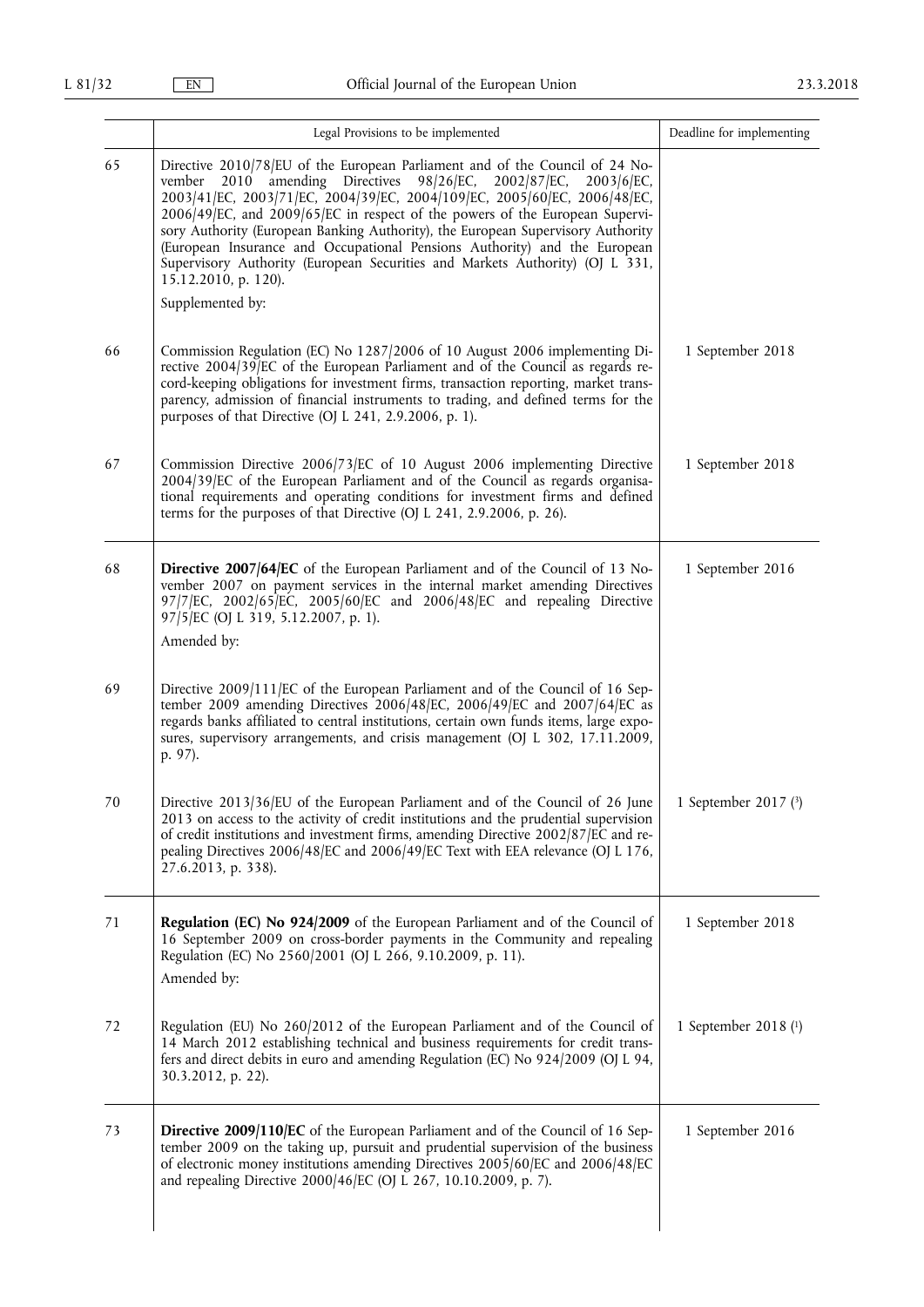|    | Legal Provisions to be implemented                                                                                                                                                                                                                                                                                                                                                                                                                                                                                                                                                                                | Deadline for implementing |
|----|-------------------------------------------------------------------------------------------------------------------------------------------------------------------------------------------------------------------------------------------------------------------------------------------------------------------------------------------------------------------------------------------------------------------------------------------------------------------------------------------------------------------------------------------------------------------------------------------------------------------|---------------------------|
| 65 | Directive 2010/78/EU of the European Parliament and of the Council of 24 No-<br>2010 amending Directives 98/26/EC, 2002/87/EC,<br>$2003/6$ /EC,<br>vember<br>2003/41/EC, 2003/71/EC, 2004/39/EC, 2004/109/EC, 2005/60/EC, 2006/48/EC,<br>2006/49/EC, and 2009/65/EC in respect of the powers of the European Supervi-<br>sory Authority (European Banking Authority), the European Supervisory Authority<br>(European Insurance and Occupational Pensions Authority) and the European<br>Supervisory Authority (European Securities and Markets Authority) (OJ L 331,<br>15.12.2010, p. 120).<br>Supplemented by: |                           |
| 66 | Commission Regulation (EC) No 1287/2006 of 10 August 2006 implementing Di-<br>rective 2004/39/EC of the European Parliament and of the Council as regards re-<br>cord-keeping obligations for investment firms, transaction reporting, market trans-<br>parency, admission of financial instruments to trading, and defined terms for the<br>purposes of that Directive (OJ L 241, 2.9.2006, p. 1).                                                                                                                                                                                                               | 1 September 2018          |
| 67 | Commission Directive 2006/73/EC of 10 August 2006 implementing Directive<br>2004/39/EC of the European Parliament and of the Council as regards organisa-<br>tional requirements and operating conditions for investment firms and defined<br>terms for the purposes of that Directive (OJ L 241, 2.9.2006, p. 26).                                                                                                                                                                                                                                                                                               | 1 September 2018          |
| 68 | Directive 2007/64/EC of the European Parliament and of the Council of 13 No-<br>vember 2007 on payment services in the internal market amending Directives<br>97/7/EC, 2002/65/EC, 2005/60/EC and 2006/48/EC and repealing Directive<br>97/5/EC (OJ L 319, 5.12.2007, p. 1).<br>Amended by:                                                                                                                                                                                                                                                                                                                       | 1 September 2016          |
| 69 | Directive 2009/111/EC of the European Parliament and of the Council of 16 Sep-<br>tember 2009 amending Directives 2006/48/EC, 2006/49/EC and 2007/64/EC as<br>regards banks affiliated to central institutions, certain own funds items, large expo-<br>sures, supervisory arrangements, and crisis management (OJ L 302, 17.11.2009,<br>p. 97).                                                                                                                                                                                                                                                                  |                           |
| 70 | Directive 2013/36/EU of the European Parliament and of the Council of 26 June<br>2013 on access to the activity of credit institutions and the prudential supervision<br>of credit institutions and investment firms, amending Directive 2002/87/EC and re-<br>pealing Directives 2006/48/EC and 2006/49/EC Text with EEA relevance (OJ L 176,<br>27.6.2013, p. 338).                                                                                                                                                                                                                                             | 1 September 2017 $(3)$    |
| 71 | Regulation (EC) No 924/2009 of the European Parliament and of the Council of<br>16 September 2009 on cross-border payments in the Community and repealing<br>Regulation (EC) No 2560/2001 (OJ L 266, 9.10.2009, p. 11).<br>Amended by:                                                                                                                                                                                                                                                                                                                                                                            | 1 September 2018          |
| 72 | Regulation (EU) No 260/2012 of the European Parliament and of the Council of<br>14 March 2012 establishing technical and business requirements for credit trans-<br>fers and direct debits in euro and amending Regulation (EC) No 924/2009 (OJ L 94,<br>30.3.2012, p. 22).                                                                                                                                                                                                                                                                                                                                       | 1 September 2018 (1)      |
| 73 | Directive 2009/110/EC of the European Parliament and of the Council of 16 Sep-<br>tember 2009 on the taking up, pursuit and prudential supervision of the business<br>of electronic money institutions amending Directives 2005/60/EC and 2006/48/EC<br>and repealing Directive 2000/46/EC (OJ L 267, 10.10.2009, p. 7).                                                                                                                                                                                                                                                                                          | 1 September 2016          |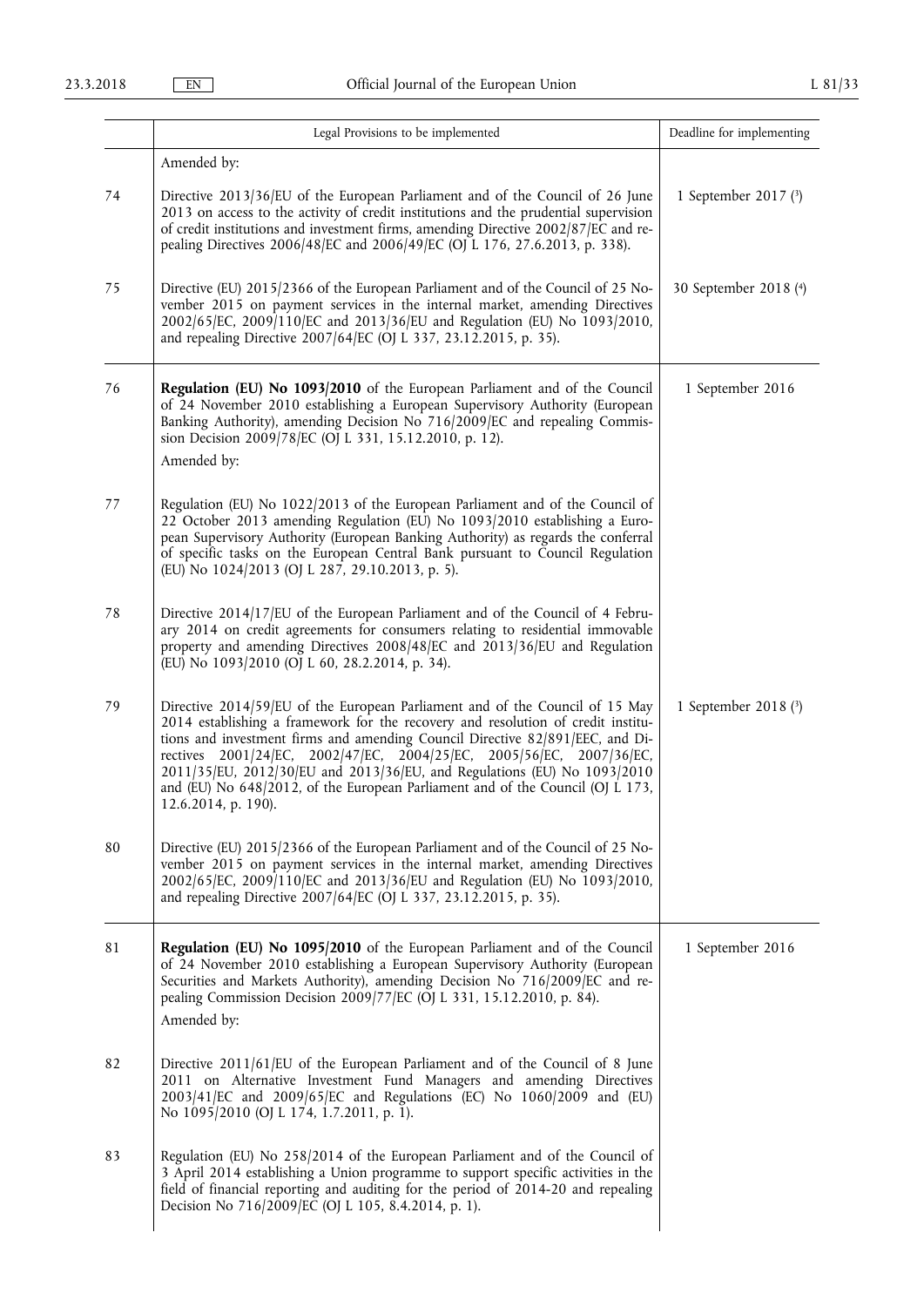|    | Legal Provisions to be implemented                                                                                                                                                                                                                                                                                                                                                                                                                                                                             | Deadline for implementing |
|----|----------------------------------------------------------------------------------------------------------------------------------------------------------------------------------------------------------------------------------------------------------------------------------------------------------------------------------------------------------------------------------------------------------------------------------------------------------------------------------------------------------------|---------------------------|
| 74 | Amended by:<br>Directive 2013/36/EU of the European Parliament and of the Council of 26 June<br>2013 on access to the activity of credit institutions and the prudential supervision<br>of credit institutions and investment firms, amending Directive 2002/87/EC and re-<br>pealing Directives 2006/48/EC and 2006/49/EC (OJ L 176, 27.6.2013, p. 338).                                                                                                                                                      | 1 September 2017 (3)      |
| 75 | Directive (EU) 2015/2366 of the European Parliament and of the Council of 25 No-<br>vember 2015 on payment services in the internal market, amending Directives<br>2002/65/EC, 2009/110/EC and 2013/36/EU and Regulation (EU) No 1093/2010,<br>and repealing Directive 2007/64/EC (OJ L 337, 23.12.2015, p. 35).                                                                                                                                                                                               | 30 September 2018 (4)     |
| 76 | Regulation (EU) No 1093/2010 of the European Parliament and of the Council<br>of 24 November 2010 establishing a European Supervisory Authority (European<br>Banking Authority), amending Decision No 716/2009/EC and repealing Commis-<br>sion Decision 2009/78/EC (OJ L 331, 15.12.2010, p. 12).<br>Amended by:                                                                                                                                                                                              | 1 September 2016          |
| 77 | Regulation (EU) No 1022/2013 of the European Parliament and of the Council of<br>22 October 2013 amending Regulation (EU) No 1093/2010 establishing a Euro-<br>pean Supervisory Authority (European Banking Authority) as regards the conferral<br>of specific tasks on the European Central Bank pursuant to Council Regulation<br>(EU) No 1024/2013 (OJ L 287, 29.10.2013, p. 5).                                                                                                                            |                           |
| 78 | Directive 2014/17/EU of the European Parliament and of the Council of 4 Febru-<br>ary 2014 on credit agreements for consumers relating to residential immovable<br>property and amending Directives 2008/48/EC and 2013/36/EU and Regulation<br>(EU) No 1093/2010 (OJ L 60, 28.2.2014, p. 34).                                                                                                                                                                                                                 |                           |
| 79 | Directive 2014/59/EU of the European Parliament and of the Council of 15 May<br>2014 establishing a framework for the recovery and resolution of credit institu-<br>tions and investment firms and amending Council Directive 82/891/EEC, and Di-<br>rectives 2001/24/EC, 2002/47/EC, 2004/25/EC, 2005/56/EC, 2007/36/EC,<br>2011/35/EU, 2012/30/EU and 2013/36/EU, and Regulations (EU) No 1093/2010<br>and (EU) No 648/2012, of the European Parliament and of the Council (OJ L 173,<br>12.6.2014, p. 190). | 1 September 2018 (3)      |
| 80 | Directive (EU) 2015/2366 of the European Parliament and of the Council of 25 No-<br>vember 2015 on payment services in the internal market, amending Directives<br>2002/65/EC, 2009/110/EC and 2013/36/EU and Regulation (EU) No 1093/2010,<br>and repealing Directive 2007/64/EC (OJ L 337, 23.12.2015, p. 35).                                                                                                                                                                                               |                           |
| 81 | Regulation (EU) No 1095/2010 of the European Parliament and of the Council<br>of 24 November 2010 establishing a European Supervisory Authority (European<br>Securities and Markets Authority), amending Decision No 716/2009/EC and re-<br>pealing Commission Decision 2009/77/EC (OJ L 331, 15.12.2010, p. 84).<br>Amended by:                                                                                                                                                                               | 1 September 2016          |
| 82 | Directive 2011/61/EU of the European Parliament and of the Council of 8 June<br>2011 on Alternative Investment Fund Managers and amending Directives<br>2003/41/EC and 2009/65/EC and Regulations (EC) No 1060/2009 and (EU)<br>No 1095/2010 (OJ L 174, 1.7.2011, p. 1).                                                                                                                                                                                                                                       |                           |
| 83 | Regulation (EU) No 258/2014 of the European Parliament and of the Council of<br>3 April 2014 establishing a Union programme to support specific activities in the<br>field of financial reporting and auditing for the period of 2014-20 and repealing<br>Decision No 716/2009/EC (OJ L 105, 8.4.2014, p. 1).                                                                                                                                                                                                  |                           |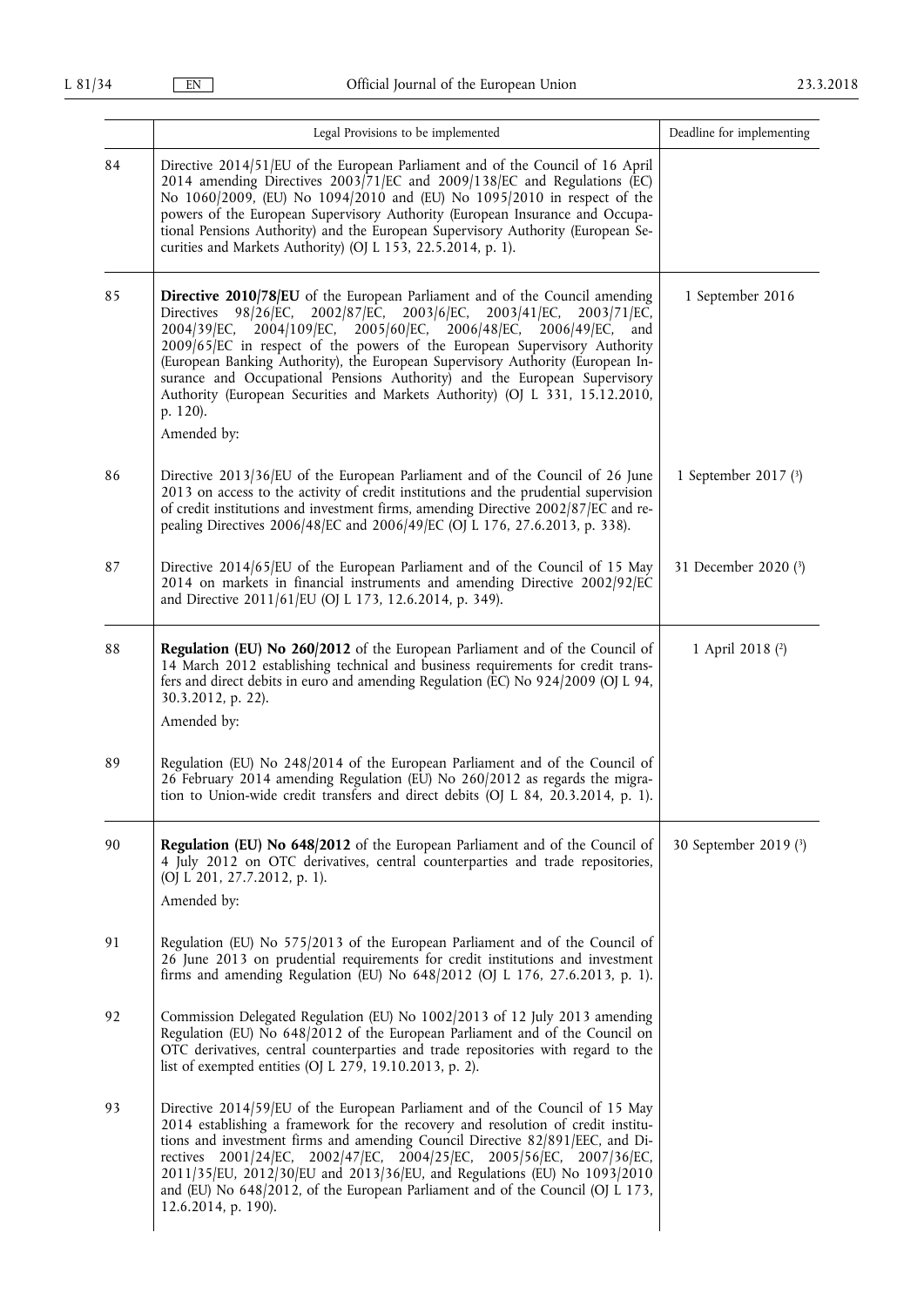|    | Legal Provisions to be implemented                                                                                                                                                                                                                                                                                                                                                                                                                                                                                                                                                                                       | Deadline for implementing |
|----|--------------------------------------------------------------------------------------------------------------------------------------------------------------------------------------------------------------------------------------------------------------------------------------------------------------------------------------------------------------------------------------------------------------------------------------------------------------------------------------------------------------------------------------------------------------------------------------------------------------------------|---------------------------|
| 84 | Directive 2014/51/EU of the European Parliament and of the Council of 16 April<br>2014 amending Directives 2003/71/EC and 2009/138/EC and Regulations (EC)<br>No 1060/2009, (EU) No 1094/2010 and (EU) No 1095/2010 in respect of the<br>powers of the European Supervisory Authority (European Insurance and Occupa-<br>tional Pensions Authority) and the European Supervisory Authority (European Se-<br>curities and Markets Authority) (OJ L 153, 22.5.2014, p. 1).                                                                                                                                                 |                           |
| 85 | <b>Directive 2010/78/EU</b> of the European Parliament and of the Council amending<br>$2002/87$ /EC, $2003/6$ /EC, $2003/41$ /EC,<br>2003/71/EC,<br>Directives<br>98/26/EC,<br>2004/109/EC,<br>$2005/60$ /EC, $2006/48$ /EC,<br>2004/39/EC,<br>2006/49/EC,<br>and<br>2009/65/EC in respect of the powers of the European Supervisory Authority<br>(European Banking Authority), the European Supervisory Authority (European In-<br>surance and Occupational Pensions Authority) and the European Supervisory<br>Authority (European Securities and Markets Authority) (OJ L 331, 15.12.2010,<br>p. 120).<br>Amended by: | 1 September 2016          |
| 86 | Directive 2013/36/EU of the European Parliament and of the Council of 26 June<br>2013 on access to the activity of credit institutions and the prudential supervision<br>of credit institutions and investment firms, amending Directive 2002/87/EC and re-<br>pealing Directives 2006/48/EC and 2006/49/EC (OJ L 176, 27.6.2013, p. 338).                                                                                                                                                                                                                                                                               | 1 September 2017 (3)      |
| 87 | Directive 2014/65/EU of the European Parliament and of the Council of 15 May<br>2014 on markets in financial instruments and amending Directive 2002/92/EC<br>and Directive 2011/61/EU (OJ L 173, 12.6.2014, p. 349).                                                                                                                                                                                                                                                                                                                                                                                                    | 31 December 2020 (3)      |
| 88 | Regulation (EU) No 260/2012 of the European Parliament and of the Council of<br>14 March 2012 establishing technical and business requirements for credit trans-<br>fers and direct debits in euro and amending Regulation (EC) No 924/2009 (OJ L 94,<br>30.3.2012, p. 22).<br>Amended by:                                                                                                                                                                                                                                                                                                                               | 1 April 2018 (2)          |
| 89 | Regulation (EU) No 248/2014 of the European Parliament and of the Council of<br>26 February 2014 amending Regulation (EU) No 260/2012 as regards the migra-<br>tion to Union-wide credit transfers and direct debits (OJ L 84, 20.3.2014, p. 1).                                                                                                                                                                                                                                                                                                                                                                         |                           |
| 90 | Regulation (EU) No 648/2012 of the European Parliament and of the Council of<br>4 July 2012 on OTC derivatives, central counterparties and trade repositories,<br>(OJ L 201, 27.7.2012, p. 1).<br>Amended by:                                                                                                                                                                                                                                                                                                                                                                                                            | 30 September 2019 (3)     |
| 91 | Regulation (EU) No 575/2013 of the European Parliament and of the Council of<br>26 June 2013 on prudential requirements for credit institutions and investment<br>firms and amending Regulation (EU) No 648/2012 (OJ L 176, 27.6.2013, p. 1).                                                                                                                                                                                                                                                                                                                                                                            |                           |
| 92 | Commission Delegated Regulation (EU) No 1002/2013 of 12 July 2013 amending<br>Regulation (EU) No 648/2012 of the European Parliament and of the Council on<br>OTC derivatives, central counterparties and trade repositories with regard to the<br>list of exempted entities (OJ L 279, 19.10.2013, p. 2).                                                                                                                                                                                                                                                                                                               |                           |
| 93 | Directive 2014/59/EU of the European Parliament and of the Council of 15 May<br>2014 establishing a framework for the recovery and resolution of credit institu-<br>tions and investment firms and amending Council Directive 82/891/EEC, and Di-<br>rectives 2001/24/EC, 2002/47/EC, 2004/25/EC, 2005/56/EC, 2007/36/EC,<br>2011/35/EU, 2012/30/EU and 2013/36/EU, and Regulations (EU) No 1093/2010<br>and (EU) No 648/2012, of the European Parliament and of the Council (OJ L 173,<br>12.6.2014, p. 190).                                                                                                           |                           |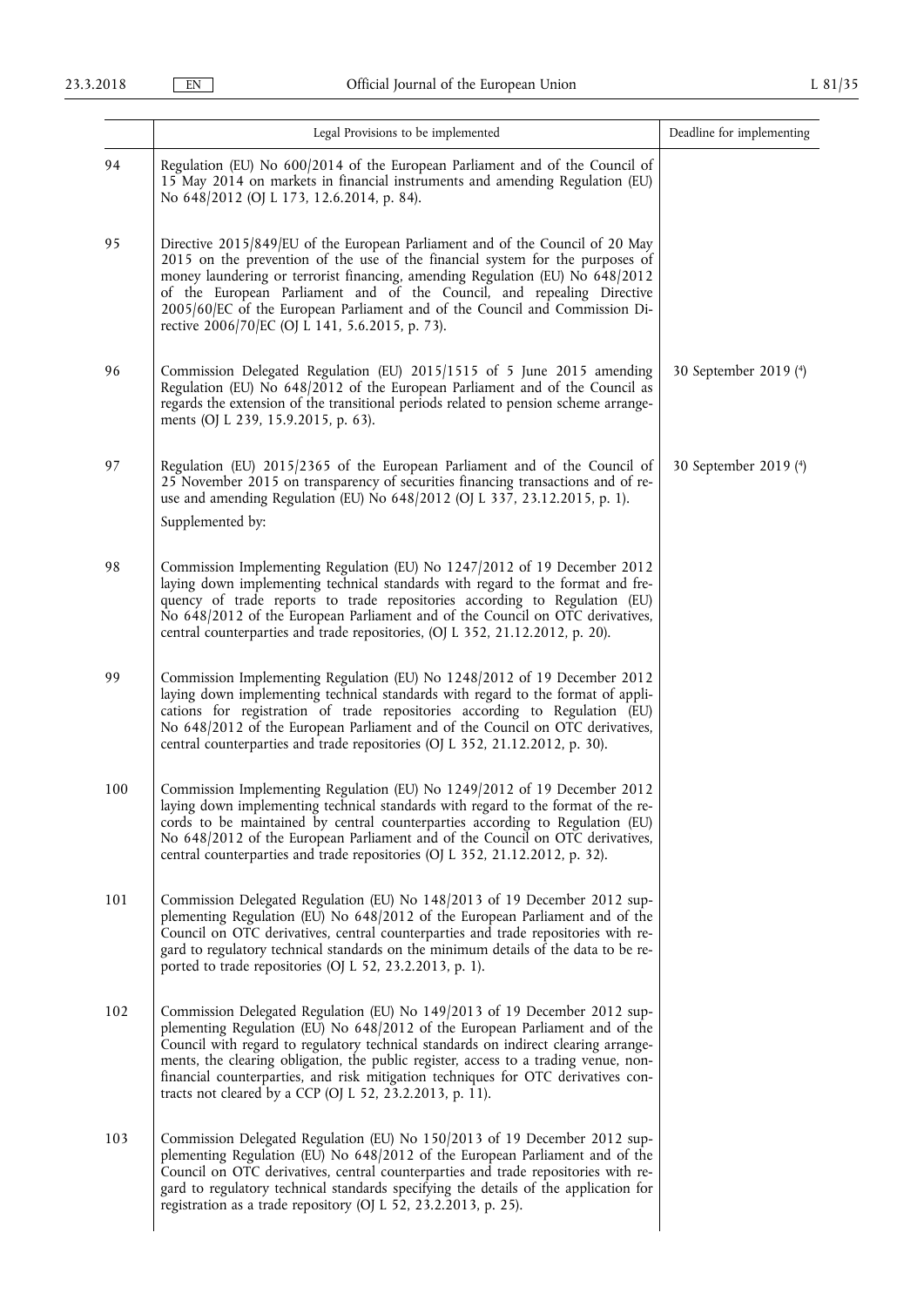|     | Legal Provisions to be implemented                                                                                                                                                                                                                                                                                                                                                                                                                                                        | Deadline for implementing |
|-----|-------------------------------------------------------------------------------------------------------------------------------------------------------------------------------------------------------------------------------------------------------------------------------------------------------------------------------------------------------------------------------------------------------------------------------------------------------------------------------------------|---------------------------|
| 94  | Regulation (EU) No 600/2014 of the European Parliament and of the Council of<br>15 May 2014 on markets in financial instruments and amending Regulation (EU)<br>No 648/2012 (OJ L 173, 12.6.2014, p. 84).                                                                                                                                                                                                                                                                                 |                           |
| 95  | Directive 2015/849/EU of the European Parliament and of the Council of 20 May<br>2015 on the prevention of the use of the financial system for the purposes of<br>money laundering or terrorist financing, amending Regulation (EU) No 648/2012<br>of the European Parliament and of the Council, and repealing Directive<br>2005/60/EC of the European Parliament and of the Council and Commission Di-<br>rective 2006/70/EC (OJ L 141, 5.6.2015, p. 73).                               |                           |
| 96  | Commission Delegated Regulation (EU) 2015/1515 of 5 June 2015 amending<br>Regulation (EU) No 648/2012 of the European Parliament and of the Council as<br>regards the extension of the transitional periods related to pension scheme arrange-<br>ments (OJ L 239, 15.9.2015, p. 63).                                                                                                                                                                                                     | 30 September 2019 (4)     |
| 97  | Regulation (EU) 2015/2365 of the European Parliament and of the Council of<br>25 November 2015 on transparency of securities financing transactions and of re-<br>use and amending Regulation (EU) No 648/2012 (OJ L 337, 23.12.2015, p. 1).<br>Supplemented by:                                                                                                                                                                                                                          | 30 September 2019 (4)     |
| 98  | Commission Implementing Regulation (EU) No 1247/2012 of 19 December 2012<br>laying down implementing technical standards with regard to the format and fre-<br>quency of trade reports to trade repositories according to Regulation (EU)<br>No 648/2012 of the European Parliament and of the Council on OTC derivatives,<br>central counterparties and trade repositories, (OJ L 352, 21.12.2012, p. 20).                                                                               |                           |
| 99  | Commission Implementing Regulation (EU) No 1248/2012 of 19 December 2012<br>laying down implementing technical standards with regard to the format of appli-<br>cations for registration of trade repositories according to Regulation (EU)<br>No 648/2012 of the European Parliament and of the Council on OTC derivatives,<br>central counterparties and trade repositories (OJ L 352, 21.12.2012, p. 30).                                                                              |                           |
| 100 | Commission Implementing Regulation (EU) No 1249/2012 of 19 December 2012<br>laying down implementing technical standards with regard to the format of the re-<br>cords to be maintained by central counterparties according to Regulation (EU)<br>No 648/2012 of the European Parliament and of the Council on OTC derivatives,<br>central counterparties and trade repositories (OJ L 352, 21.12.2012, p. 32).                                                                           |                           |
| 101 | Commission Delegated Regulation (EU) No 148/2013 of 19 December 2012 sup-<br>plementing Regulation (EU) No 648/2012 of the European Parliament and of the<br>Council on OTC derivatives, central counterparties and trade repositories with re-<br>gard to regulatory technical standards on the minimum details of the data to be re-<br>ported to trade repositories (OJ L 52, 23.2.2013, p. 1).                                                                                        |                           |
| 102 | Commission Delegated Regulation (EU) No 149/2013 of 19 December 2012 sup-<br>plementing Regulation (EU) No 648/2012 of the European Parliament and of the<br>Council with regard to regulatory technical standards on indirect clearing arrange-<br>ments, the clearing obligation, the public register, access to a trading venue, non-<br>financial counterparties, and risk mitigation techniques for OTC derivatives con-<br>tracts not cleared by a CCP (OJ L 52, 23.2.2013, p. 11). |                           |
| 103 | Commission Delegated Regulation (EU) No 150/2013 of 19 December 2012 sup-<br>plementing Regulation (EU) No 648/2012 of the European Parliament and of the<br>Council on OTC derivatives, central counterparties and trade repositories with re-<br>gard to regulatory technical standards specifying the details of the application for<br>registration as a trade repository (OJ L 52, 23.2.2013, p. 25).                                                                                |                           |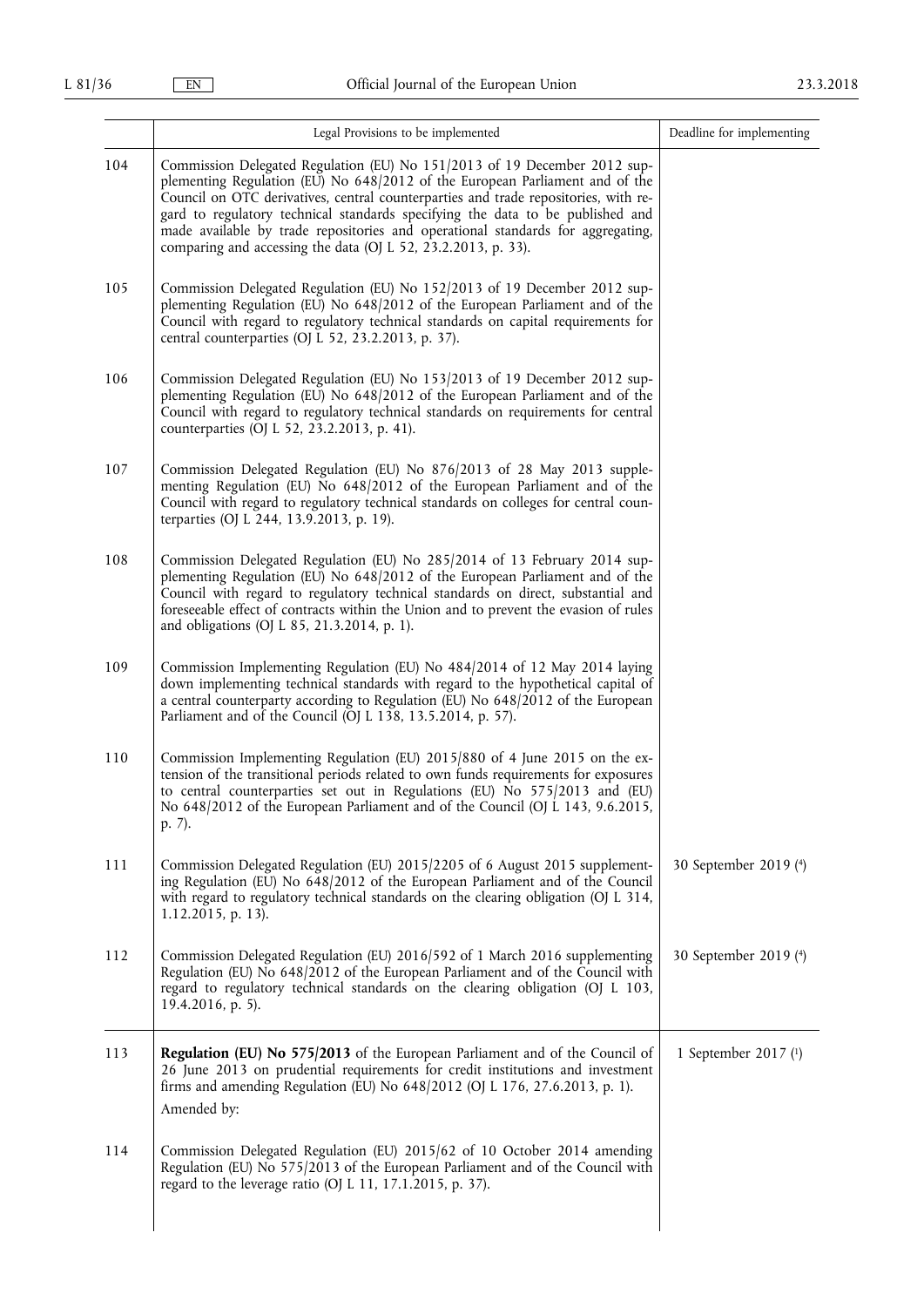|     | Legal Provisions to be implemented                                                                                                                                                                                                                                                                                                                                                                                                                                                     | Deadline for implementing |
|-----|----------------------------------------------------------------------------------------------------------------------------------------------------------------------------------------------------------------------------------------------------------------------------------------------------------------------------------------------------------------------------------------------------------------------------------------------------------------------------------------|---------------------------|
| 104 | Commission Delegated Regulation (EU) No 151/2013 of 19 December 2012 sup-<br>plementing Regulation (EU) No 648/2012 of the European Parliament and of the<br>Council on OTC derivatives, central counterparties and trade repositories, with re-<br>gard to regulatory technical standards specifying the data to be published and<br>made available by trade repositories and operational standards for aggregating,<br>comparing and accessing the data (OJ L 52, 23.2.2013, p. 33). |                           |
| 105 | Commission Delegated Regulation (EU) No 152/2013 of 19 December 2012 sup-<br>plementing Regulation (EU) No 648/2012 of the European Parliament and of the<br>Council with regard to regulatory technical standards on capital requirements for<br>central counterparties (OJ L 52, 23.2.2013, p. 37).                                                                                                                                                                                  |                           |
| 106 | Commission Delegated Regulation (EU) No 153/2013 of 19 December 2012 sup-<br>plementing Regulation (EU) No 648/2012 of the European Parliament and of the<br>Council with regard to regulatory technical standards on requirements for central<br>counterparties (OJ L 52, 23.2.2013, p. 41).                                                                                                                                                                                          |                           |
| 107 | Commission Delegated Regulation (EU) No 876/2013 of 28 May 2013 supple-<br>menting Regulation (EU) No 648/2012 of the European Parliament and of the<br>Council with regard to regulatory technical standards on colleges for central coun-<br>terparties (OJ L 244, 13.9.2013, p. 19).                                                                                                                                                                                                |                           |
| 108 | Commission Delegated Regulation (EU) No 285/2014 of 13 February 2014 sup-<br>plementing Regulation (EU) No 648/2012 of the European Parliament and of the<br>Council with regard to regulatory technical standards on direct, substantial and<br>foreseeable effect of contracts within the Union and to prevent the evasion of rules<br>and obligations (OJ L 85, 21.3.2014, p. 1).                                                                                                   |                           |
| 109 | Commission Implementing Regulation (EU) No 484/2014 of 12 May 2014 laying<br>down implementing technical standards with regard to the hypothetical capital of<br>a central counterparty according to Regulation (EU) No 648/2012 of the European<br>Parliament and of the Council (OJ L 138, 13.5.2014, p. 57).                                                                                                                                                                        |                           |
| 110 | Commission Implementing Regulation (EU) 2015/880 of 4 June 2015 on the ex-<br>tension of the transitional periods related to own funds requirements for exposures<br>to central counterparties set out in Regulations (EU) No 575/2013 and (EU)<br>No 648/2012 of the European Parliament and of the Council (OJ L 143, 9.6.2015,<br>p. 7).                                                                                                                                            |                           |
| 111 | Commission Delegated Regulation (EU) 2015/2205 of 6 August 2015 supplement-<br>ing Regulation (EU) No 648/2012 of the European Parliament and of the Council<br>with regard to regulatory technical standards on the clearing obligation (OJ L 314,<br>1.12.2015, p. 13).                                                                                                                                                                                                              | 30 September 2019 (4)     |
| 112 | Commission Delegated Regulation (EU) 2016/592 of 1 March 2016 supplementing<br>Regulation (EU) No 648/2012 of the European Parliament and of the Council with<br>regard to regulatory technical standards on the clearing obligation (OJ L 103,<br>19.4.2016, p. 5).                                                                                                                                                                                                                   | 30 September 2019 (4)     |
| 113 | Regulation (EU) No 575/2013 of the European Parliament and of the Council of<br>26 June 2013 on prudential requirements for credit institutions and investment<br>firms and amending Regulation (EU) No 648/2012 (OJ L 176, 27.6.2013, p. 1).<br>Amended by:                                                                                                                                                                                                                           | 1 September 2017 (1)      |
| 114 | Commission Delegated Regulation (EU) 2015/62 of 10 October 2014 amending<br>Regulation (EU) No 575/2013 of the European Parliament and of the Council with<br>regard to the leverage ratio (OJ L 11, 17.1.2015, p. 37).                                                                                                                                                                                                                                                                |                           |
|     |                                                                                                                                                                                                                                                                                                                                                                                                                                                                                        |                           |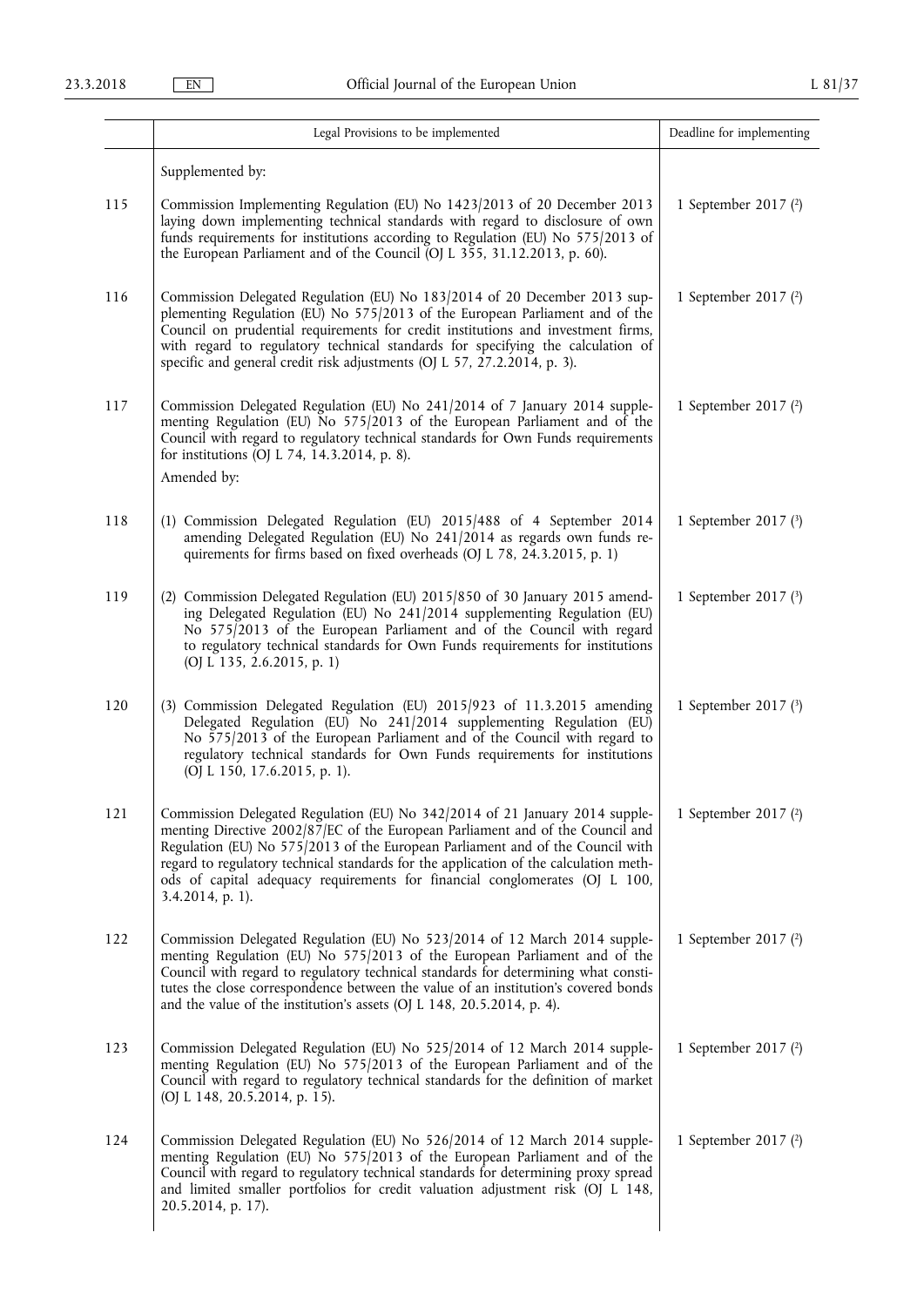|     | Legal Provisions to be implemented                                                                                                                                                                                                                                                                                                                                                                                                          | Deadline for implementing |
|-----|---------------------------------------------------------------------------------------------------------------------------------------------------------------------------------------------------------------------------------------------------------------------------------------------------------------------------------------------------------------------------------------------------------------------------------------------|---------------------------|
|     | Supplemented by:                                                                                                                                                                                                                                                                                                                                                                                                                            |                           |
| 115 | Commission Implementing Regulation (EU) No 1423/2013 of 20 December 2013<br>laying down implementing technical standards with regard to disclosure of own<br>funds requirements for institutions according to Regulation (EU) No 575/2013 of<br>the European Parliament and of the Council (OJ L 355, 31.12.2013, p. 60).                                                                                                                   | 1 September 2017 (2)      |
| 116 | Commission Delegated Regulation (EU) No 183/2014 of 20 December 2013 sup-<br>plementing Regulation (EU) No 575/2013 of the European Parliament and of the<br>Council on prudential requirements for credit institutions and investment firms,<br>with regard to regulatory technical standards for specifying the calculation of<br>specific and general credit risk adjustments (OJ L 57, 27.2.2014, p. 3).                                | 1 September 2017 (2)      |
| 117 | Commission Delegated Regulation (EU) No 241/2014 of 7 January 2014 supple-<br>menting Regulation (EU) No 575/2013 of the European Parliament and of the<br>Council with regard to regulatory technical standards for Own Funds requirements<br>for institutions (OJ L 74, 14.3.2014, p. 8).<br>Amended by:                                                                                                                                  | 1 September 2017 (2)      |
|     |                                                                                                                                                                                                                                                                                                                                                                                                                                             |                           |
| 118 | (1) Commission Delegated Regulation (EU) 2015/488 of 4 September 2014<br>amending Delegated Regulation (EU) No 241/2014 as regards own funds re-<br>quirements for firms based on fixed overheads (OJ L 78, 24.3.2015, p. 1)                                                                                                                                                                                                                | 1 September 2017 (3)      |
| 119 | (2) Commission Delegated Regulation (EU) 2015/850 of 30 January 2015 amend-<br>ing Delegated Regulation (EU) No 241/2014 supplementing Regulation (EU)<br>No 575/2013 of the European Parliament and of the Council with regard<br>to regulatory technical standards for Own Funds requirements for institutions<br>(OJ L 135, 2.6.2015, p. 1)                                                                                              | 1 September 2017 (3)      |
| 120 | (3) Commission Delegated Regulation (EU) 2015/923 of 11.3.2015 amending<br>Delegated Regulation (EU) No 241/2014 supplementing Regulation (EU)<br>No 575/2013 of the European Parliament and of the Council with regard to<br>regulatory technical standards for Own Funds requirements for institutions<br>(OJ L 150, 17.6.2015, p. 1).                                                                                                    | 1 September 2017 $(3)$    |
| 121 | Commission Delegated Regulation (EU) No 342/2014 of 21 January 2014 supple-<br>menting Directive 2002/87/EC of the European Parliament and of the Council and<br>Regulation (EU) No 575/2013 of the European Parliament and of the Council with<br>regard to regulatory technical standards for the application of the calculation meth-<br>ods of capital adequacy requirements for financial conglomerates (OJ L 100,<br>3.4.2014, p. 1). | 1 September 2017 (2)      |
| 122 | Commission Delegated Regulation (EU) No 523/2014 of 12 March 2014 supple-<br>menting Regulation (EU) No 575/2013 of the European Parliament and of the<br>Council with regard to regulatory technical standards for determining what consti-<br>tutes the close correspondence between the value of an institution's covered bonds<br>and the value of the institution's assets $(OJ L 148, 20.5.2014, p. 4)$ .                             | 1 September 2017 (2)      |
| 123 | Commission Delegated Regulation (EU) No 525/2014 of 12 March 2014 supple-<br>menting Regulation (EU) No 575/2013 of the European Parliament and of the<br>Council with regard to regulatory technical standards for the definition of market<br>(OJ L 148, 20.5.2014, p. 15).                                                                                                                                                               | 1 September 2017 (2)      |
| 124 | Commission Delegated Regulation (EU) No 526/2014 of 12 March 2014 supple-<br>menting Regulation (EU) No 575/2013 of the European Parliament and of the<br>Council with regard to regulatory technical standards for determining proxy spread<br>and limited smaller portfolios for credit valuation adjustment risk (OJ L 148,<br>20.5.2014, p. 17).                                                                                        | 1 September 2017 (2)      |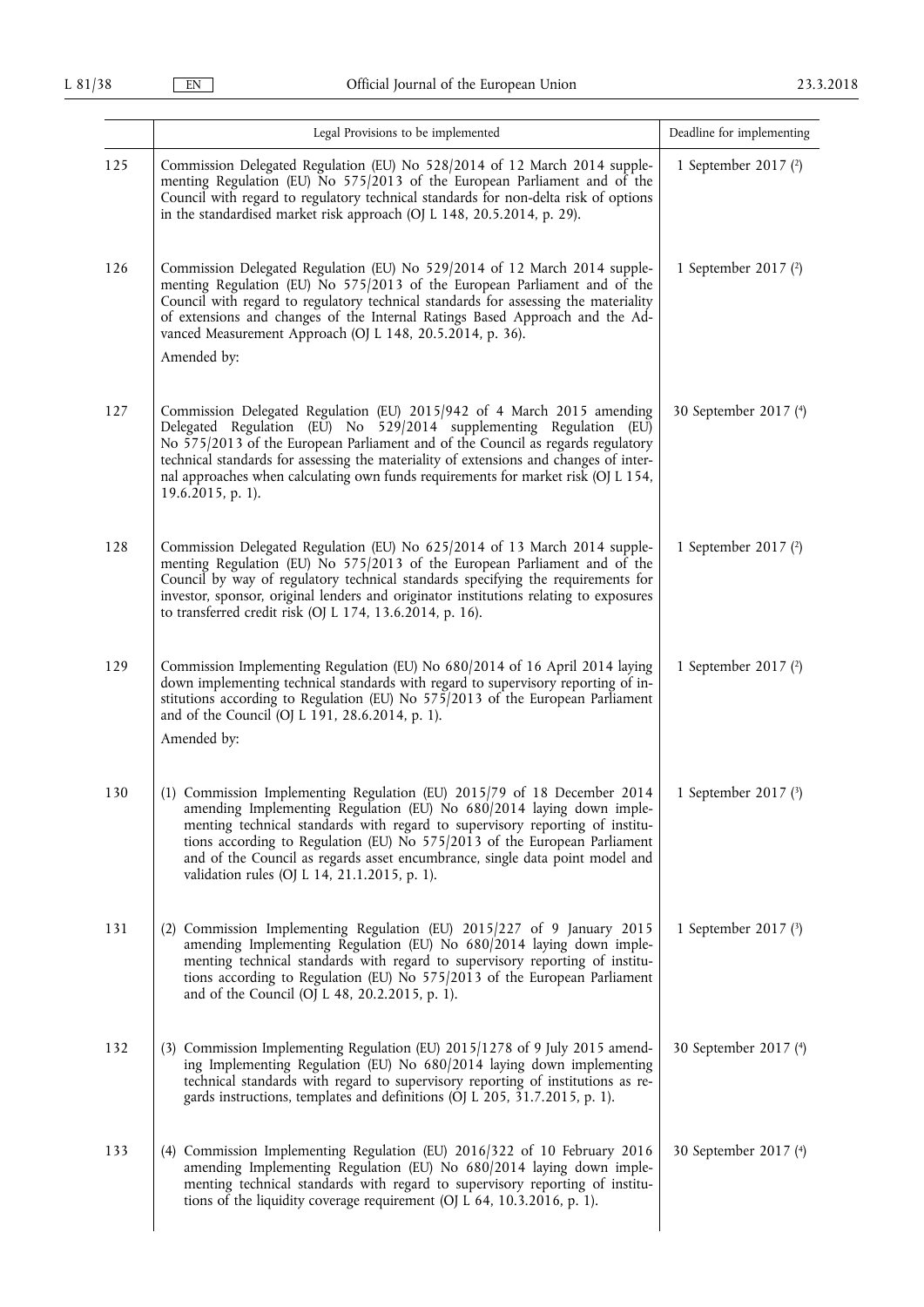|     | Legal Provisions to be implemented                                                                                                                                                                                                                                                                                                                                                                                                           | Deadline for implementing |
|-----|----------------------------------------------------------------------------------------------------------------------------------------------------------------------------------------------------------------------------------------------------------------------------------------------------------------------------------------------------------------------------------------------------------------------------------------------|---------------------------|
| 125 | Commission Delegated Regulation (EU) No 528/2014 of 12 March 2014 supple-<br>menting Regulation (EU) No 575/2013 of the European Parliament and of the<br>Council with regard to regulatory technical standards for non-delta risk of options<br>in the standardised market risk approach (OJ L 148, 20.5.2014, p. 29).                                                                                                                      | 1 September 2017 (2)      |
| 126 | Commission Delegated Regulation (EU) No 529/2014 of 12 March 2014 supple-<br>menting Regulation (EU) No 575/2013 of the European Parliament and of the<br>Council with regard to regulatory technical standards for assessing the materiality<br>of extensions and changes of the Internal Ratings Based Approach and the Ad-<br>vanced Measurement Approach (OJ L 148, 20.5.2014, p. 36).<br>Amended by:                                    | 1 September 2017 (2)      |
| 127 | Commission Delegated Regulation (EU) 2015/942 of 4 March 2015 amending<br>Delegated Regulation (EU) No 529/2014 supplementing Regulation (EU)<br>No 575/2013 of the European Parliament and of the Council as regards regulatory<br>technical standards for assessing the materiality of extensions and changes of inter-<br>nal approaches when calculating own funds requirements for market risk (OJ L 154,<br>19.6.2015, p. 1).          | 30 September 2017 (4)     |
| 128 | Commission Delegated Regulation (EU) No 625/2014 of 13 March 2014 supple-<br>menting Regulation (EU) No 575/2013 of the European Parliament and of the<br>Council by way of regulatory technical standards specifying the requirements for<br>investor, sponsor, original lenders and originator institutions relating to exposures<br>to transferred credit risk (OJ L 174, 13.6.2014, p. 16).                                              | 1 September 2017 (2)      |
| 129 | Commission Implementing Regulation (EU) No 680/2014 of 16 April 2014 laying<br>down implementing technical standards with regard to supervisory reporting of in-<br>stitutions according to Regulation (EU) No 575/2013 of the European Parliament<br>and of the Council (OJ L 191, 28.6.2014, p. 1).<br>Amended by:                                                                                                                         | 1 September 2017 (2)      |
| 130 | (1) Commission Implementing Regulation (EU) 2015/79 of 18 December 2014<br>amending Implementing Regulation (EU) No 680/2014 laying down imple-<br>menting technical standards with regard to supervisory reporting of institu-<br>tions according to Regulation (EU) No 575/2013 of the European Parliament<br>and of the Council as regards asset encumbrance, single data point model and<br>validation rules (OJ L 14, 21.1.2015, p. 1). | 1 September 2017 $(3)$    |
| 131 | (2) Commission Implementing Regulation (EU) 2015/227 of 9 January 2015<br>amending Implementing Regulation (EU) No 680/2014 laying down imple-<br>menting technical standards with regard to supervisory reporting of institu-<br>tions according to Regulation (EU) No 575/2013 of the European Parliament<br>and of the Council (OJ L 48, 20.2.2015, p. 1).                                                                                | 1 September 2017 (3)      |
| 132 | (3) Commission Implementing Regulation (EU) 2015/1278 of 9 July 2015 amend-<br>ing Implementing Regulation (EU) No 680/2014 laying down implementing<br>technical standards with regard to supervisory reporting of institutions as re-<br>gards instructions, templates and definitions (OJ L 205, 31.7.2015, p. 1).                                                                                                                        | 30 September 2017 (4)     |
| 133 | (4) Commission Implementing Regulation (EU) 2016/322 of 10 February 2016<br>amending Implementing Regulation (EU) No 680/2014 laying down imple-<br>menting technical standards with regard to supervisory reporting of institu-<br>tions of the liquidity coverage requirement (OJ $\overline{L}$ 64, 10.3.2016, p. 1).                                                                                                                     | 30 September 2017 (4)     |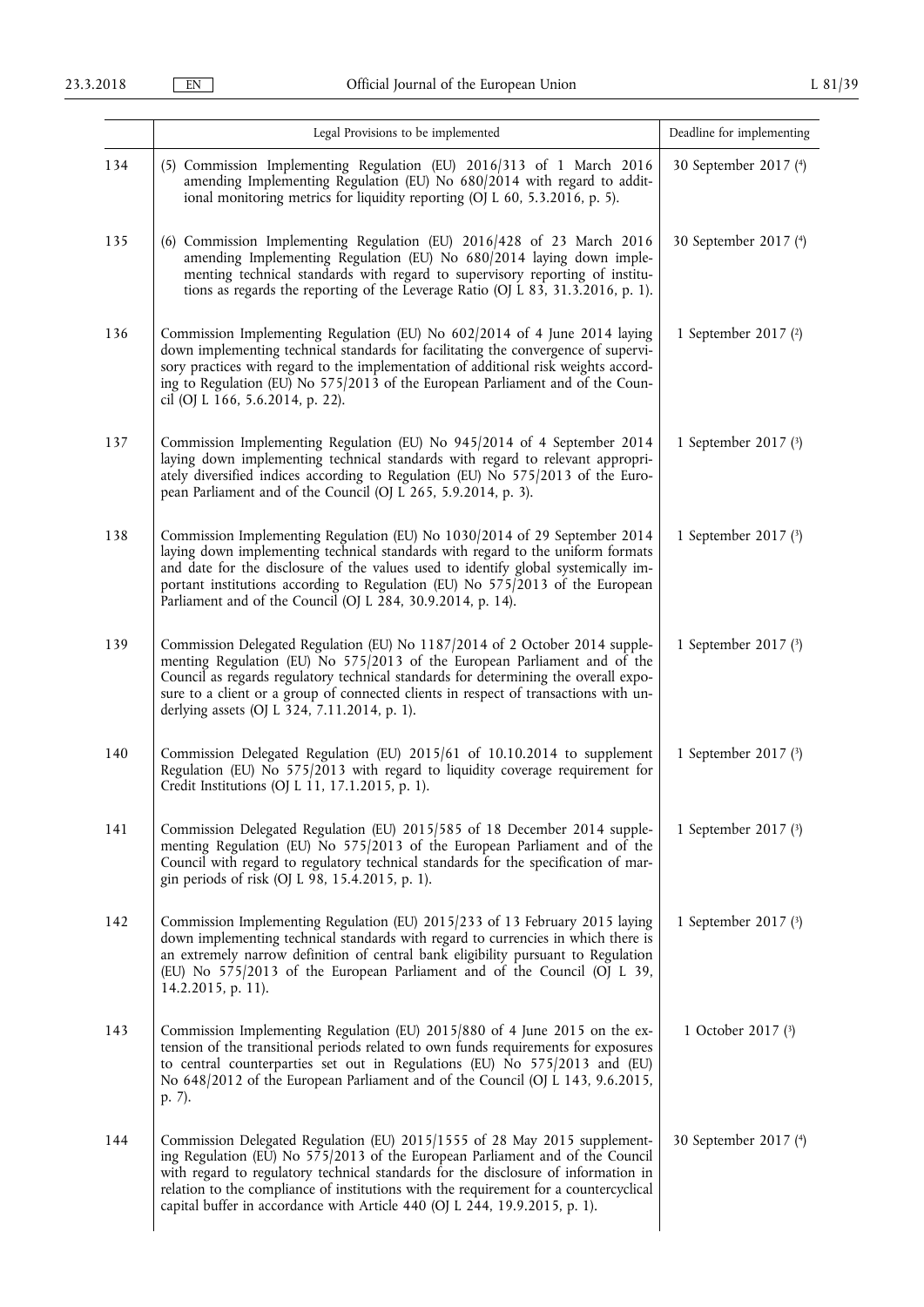|     | Legal Provisions to be implemented                                                                                                                                                                                                                                                                                                                                                                                      | Deadline for implementing |
|-----|-------------------------------------------------------------------------------------------------------------------------------------------------------------------------------------------------------------------------------------------------------------------------------------------------------------------------------------------------------------------------------------------------------------------------|---------------------------|
| 134 | (5) Commission Implementing Regulation (EU) 2016/313 of 1 March 2016<br>amending Implementing Regulation (EU) No 680/2014 with regard to addit-<br>ional monitoring metrics for liquidity reporting (OJ L 60, 5.3.2016, p. 5).                                                                                                                                                                                          | 30 September 2017 (4)     |
| 135 | (6) Commission Implementing Regulation (EU) 2016/428 of 23 March 2016<br>amending Implementing Regulation (EU) No 680/2014 laying down imple-<br>menting technical standards with regard to supervisory reporting of institu-<br>tions as regards the reporting of the Leverage Ratio (OJ L 83, 31.3.2016, p. 1).                                                                                                       | 30 September 2017 (4)     |
| 136 | Commission Implementing Regulation (EU) No 602/2014 of 4 June 2014 laying<br>down implementing technical standards for facilitating the convergence of supervi-<br>sory practices with regard to the implementation of additional risk weights accord-<br>ing to Regulation (EU) No 575/2013 of the European Parliament and of the Coun-<br>cil (OJ L 166, 5.6.2014, p. 22).                                            | 1 September 2017 (2)      |
| 137 | Commission Implementing Regulation (EU) No 945/2014 of 4 September 2014<br>laying down implementing technical standards with regard to relevant appropri-<br>ately diversified indices according to Regulation (EU) No 575/2013 of the Euro-<br>pean Parliament and of the Council (OJ L 265, 5.9.2014, p. 3).                                                                                                          | 1 September 2017 (3)      |
| 138 | Commission Implementing Regulation (EU) No 1030/2014 of 29 September 2014<br>laying down implementing technical standards with regard to the uniform formats<br>and date for the disclosure of the values used to identify global systemically im-<br>portant institutions according to Regulation (EU) No $575/2013$ of the European<br>Parliament and of the Council (OJ L 284, 30.9.2014, p. 14).                    | 1 September 2017 (3)      |
| 139 | Commission Delegated Regulation (EU) No 1187/2014 of 2 October 2014 supple-<br>menting Regulation (EU) No 575/2013 of the European Parliament and of the<br>Council as regards regulatory technical standards for determining the overall expo-<br>sure to a client or a group of connected clients in respect of transactions with un-<br>derlying assets (OJ L 324, 7.11.2014, p. 1).                                 | 1 September 2017 (3)      |
| 140 | Commission Delegated Regulation (EU) 2015/61 of 10.10.2014 to supplement<br>Regulation (EU) No 575/2013 with regard to liquidity coverage requirement for<br>Credit Institutions (OJ L 11, 17.1.2015, p. 1).                                                                                                                                                                                                            | 1 September 2017 (3)      |
| 141 | Commission Delegated Regulation (EU) 2015/585 of 18 December 2014 supple-<br>menting Regulation (EU) No 575/2013 of the European Parliament and of the<br>Council with regard to regulatory technical standards for the specification of mar-<br>gin periods of risk (OJ L 98, 15.4.2015, p. 1).                                                                                                                        | 1 September 2017 (3)      |
| 142 | Commission Implementing Regulation (EU) 2015/233 of 13 February 2015 laying<br>down implementing technical standards with regard to currencies in which there is<br>an extremely narrow definition of central bank eligibility pursuant to Regulation<br>(EU) No 575/2013 of the European Parliament and of the Council (OJ L 39,<br>14.2.2015, p. 11).                                                                 | 1 September 2017 (3)      |
| 143 | Commission Implementing Regulation (EU) 2015/880 of 4 June 2015 on the ex-<br>tension of the transitional periods related to own funds requirements for exposures<br>to central counterparties set out in Regulations (EU) No 575/2013 and (EU)<br>No 648/2012 of the European Parliament and of the Council (OJ L 143, 9.6.2015,<br>p. 7).                                                                             | 1 October 2017 (3)        |
| 144 | Commission Delegated Regulation (EU) 2015/1555 of 28 May 2015 supplement-<br>ing Regulation (EU) No 575/2013 of the European Parliament and of the Council<br>with regard to regulatory technical standards for the disclosure of information in<br>relation to the compliance of institutions with the requirement for a countercyclical<br>capital buffer in accordance with Article 440 (OJ L 244, 19.9.2015, p. 1). | 30 September 2017 (4)     |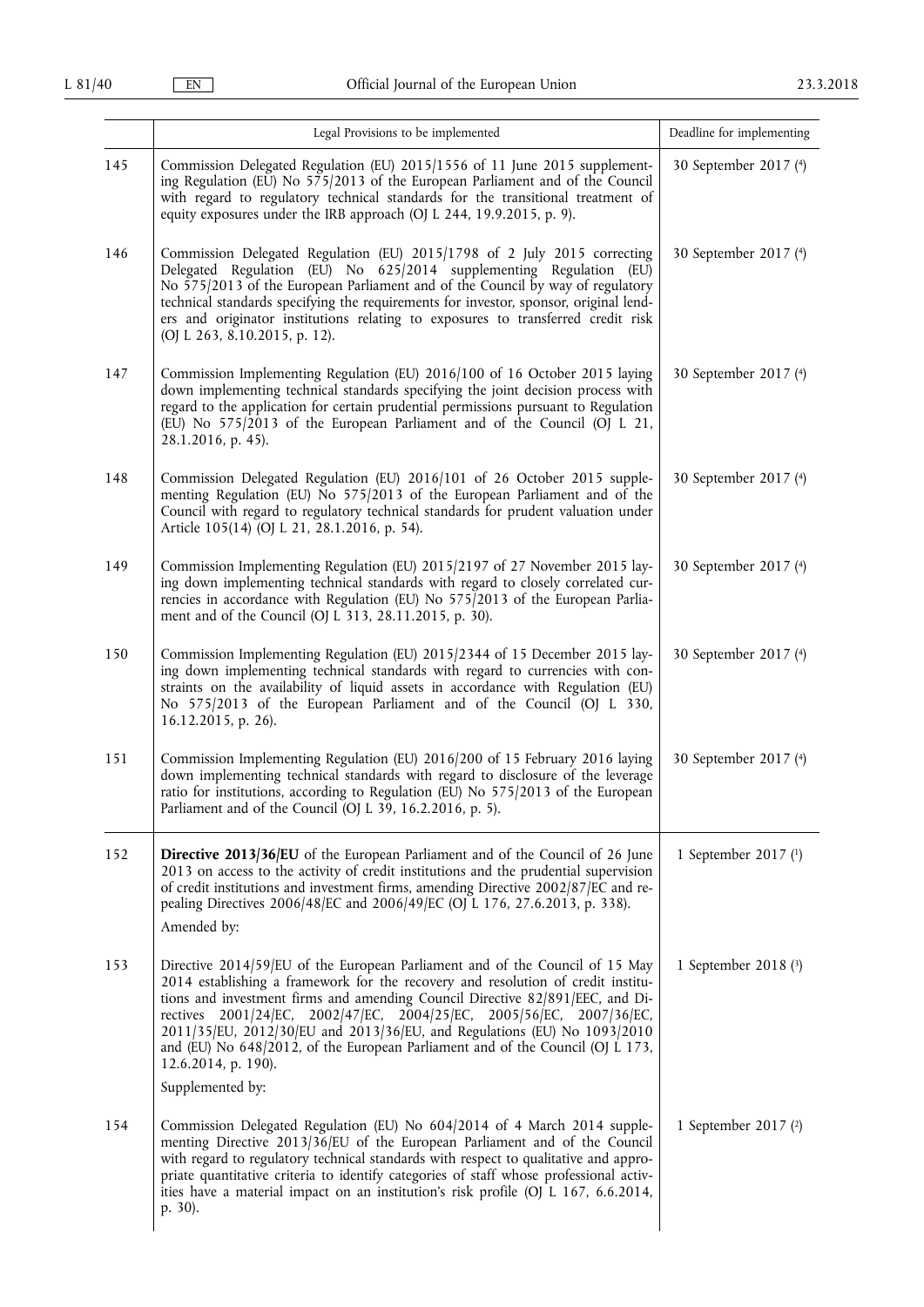|     | Legal Provisions to be implemented                                                                                                                                                                                                                                                                                                                                                                                                                                                                                                 | Deadline for implementing |
|-----|------------------------------------------------------------------------------------------------------------------------------------------------------------------------------------------------------------------------------------------------------------------------------------------------------------------------------------------------------------------------------------------------------------------------------------------------------------------------------------------------------------------------------------|---------------------------|
| 145 | Commission Delegated Regulation (EU) 2015/1556 of 11 June 2015 supplement-<br>ing Regulation (EU) No 575/2013 of the European Parliament and of the Council<br>with regard to regulatory technical standards for the transitional treatment of<br>equity exposures under the IRB approach (OJ L 244, 19.9.2015, p. 9).                                                                                                                                                                                                             | 30 September 2017 (4)     |
| 146 | Commission Delegated Regulation (EU) 2015/1798 of 2 July 2015 correcting<br>Delegated Regulation (EU) No 625/2014 supplementing Regulation (EU)<br>No 575/2013 of the European Parliament and of the Council by way of regulatory<br>technical standards specifying the requirements for investor, sponsor, original lend-<br>ers and originator institutions relating to exposures to transferred credit risk<br>(OJ L 263, 8.10.2015, p. 12).                                                                                    | 30 September 2017 (4)     |
| 147 | Commission Implementing Regulation (EU) 2016/100 of 16 October 2015 laying<br>down implementing technical standards specifying the joint decision process with<br>regard to the application for certain prudential permissions pursuant to Regulation<br>(EU) No 575/2013 of the European Parliament and of the Council (OJ L 21,<br>28.1.2016, p. 45).                                                                                                                                                                            | 30 September 2017 (4)     |
| 148 | Commission Delegated Regulation (EU) 2016/101 of 26 October 2015 supple-<br>menting Regulation (EU) No 575/2013 of the European Parliament and of the<br>Council with regard to regulatory technical standards for prudent valuation under<br>Article 105(14) (OJ L 21, 28.1.2016, p. 54).                                                                                                                                                                                                                                         | 30 September 2017 (4)     |
| 149 | Commission Implementing Regulation (EU) 2015/2197 of 27 November 2015 lay-<br>ing down implementing technical standards with regard to closely correlated cur-<br>rencies in accordance with Regulation (EU) No 575/2013 of the European Parlia-<br>ment and of the Council (OJ L 313, 28.11.2015, p. 30).                                                                                                                                                                                                                         | 30 September 2017 (4)     |
| 150 | Commission Implementing Regulation (EU) 2015/2344 of 15 December 2015 lay-<br>ing down implementing technical standards with regard to currencies with con-<br>straints on the availability of liquid assets in accordance with Regulation (EU)<br>No 575/2013 of the European Parliament and of the Council (OJ L 330,<br>16.12.2015, p. 26).                                                                                                                                                                                     | 30 September 2017 (4)     |
| 151 | Commission Implementing Regulation (EU) 2016/200 of 15 February 2016 laying<br>down implementing technical standards with regard to disclosure of the leverage<br>ratio for institutions, according to Regulation (EU) No 575/2013 of the European<br>Parliament and of the Council (OJ L 39, 16.2.2016, p. 5).                                                                                                                                                                                                                    | 30 September 2017 (4)     |
| 152 | <b>Directive 2013/36/EU</b> of the European Parliament and of the Council of 26 June<br>2013 on access to the activity of credit institutions and the prudential supervision<br>of credit institutions and investment firms, amending Directive 2002/87/EC and re-<br>pealing Directives 2006/48/EC and 2006/49/EC (OJ L 176, 27.6.2013, p. 338).<br>Amended by:                                                                                                                                                                   | 1 September 2017 (1)      |
| 153 | Directive 2014/59/EU of the European Parliament and of the Council of 15 May<br>2014 establishing a framework for the recovery and resolution of credit institu-<br>tions and investment firms and amending Council Directive 82/891/EEC, and Di-<br>rectives 2001/24/EC, 2002/47/EC, 2004/25/EC, 2005/56/EC, 2007/36/EC,<br>2011/35/EU, 2012/30/EU and 2013/36/EU, and Regulations (EU) No 1093/2010<br>and (EU) No 648/2012, of the European Parliament and of the Council (OJ L 173,<br>12.6.2014, p. 190).<br>Supplemented by: | 1 September 2018 (3)      |
| 154 | Commission Delegated Regulation (EU) No 604/2014 of 4 March 2014 supple-<br>menting Directive 2013/36/EU of the European Parliament and of the Council<br>with regard to regulatory technical standards with respect to qualitative and appro-<br>priate quantitative criteria to identify categories of staff whose professional activ-<br>ities have a material impact on an institution's risk profile (OJ L 167, 6.6.2014,<br>p. 30).                                                                                          | 1 September 2017 (2)      |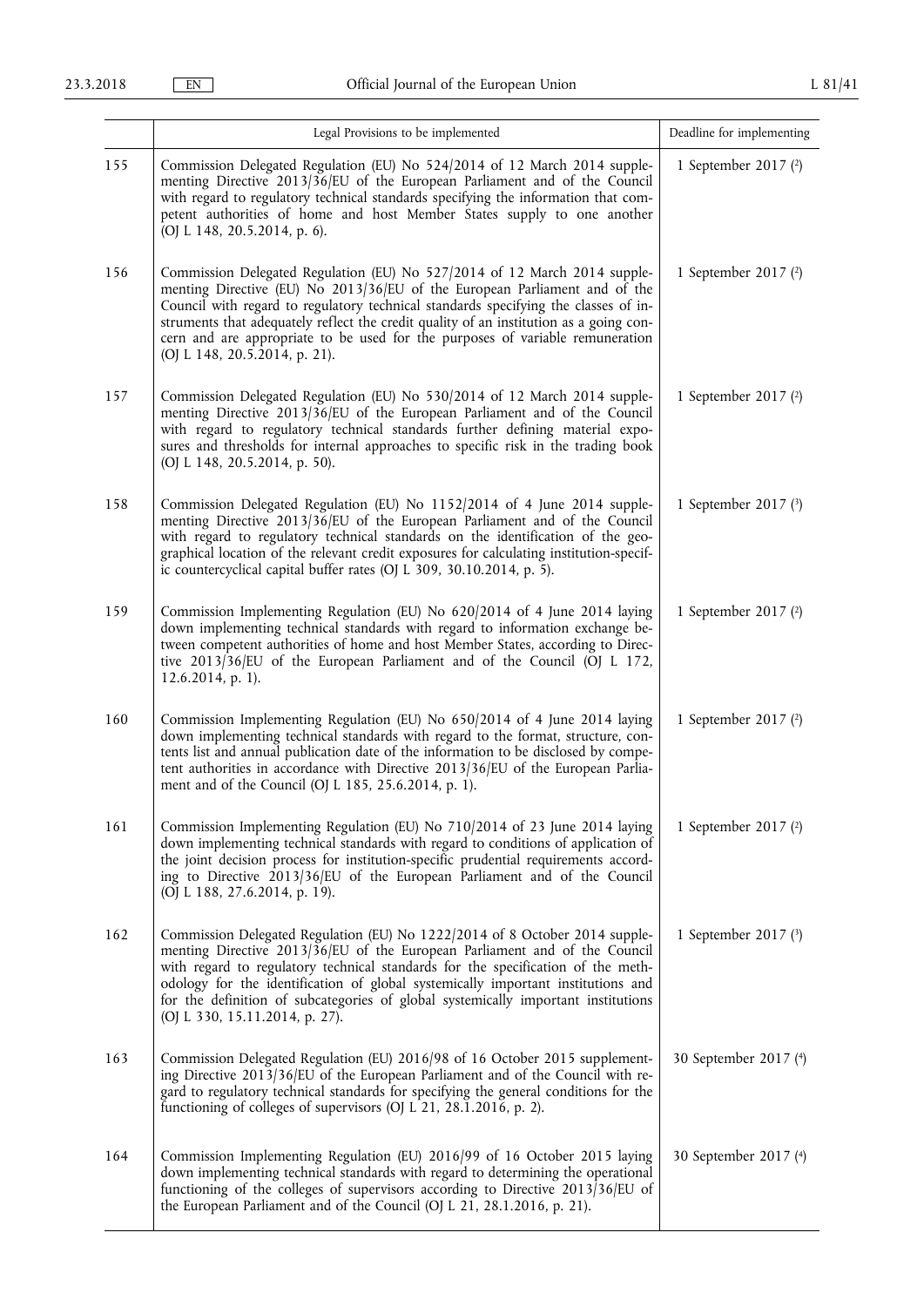|     | Legal Provisions to be implemented                                                                                                                                                                                                                                                                                                                                                                                                                         | Deadline for implementing |
|-----|------------------------------------------------------------------------------------------------------------------------------------------------------------------------------------------------------------------------------------------------------------------------------------------------------------------------------------------------------------------------------------------------------------------------------------------------------------|---------------------------|
| 155 | Commission Delegated Regulation (EU) No 524/2014 of 12 March 2014 supple-<br>menting Directive 2013/36/EU of the European Parliament and of the Council<br>with regard to regulatory technical standards specifying the information that com-<br>petent authorities of home and host Member States supply to one another<br>(OJ L 148, 20.5.2014, p. 6).                                                                                                   | 1 September 2017 (2)      |
| 156 | Commission Delegated Regulation (EU) No 527/2014 of 12 March 2014 supple-<br>menting Directive (EU) No 2013/36/EU of the European Parliament and of the<br>Council with regard to regulatory technical standards specifying the classes of in-<br>struments that adequately reflect the credit quality of an institution as a going con-<br>cern and are appropriate to be used for the purposes of variable remuneration<br>(OJ L 148, 20.5.2014, p. 21). | 1 September 2017 $(2)$    |
| 157 | Commission Delegated Regulation (EU) No 530/2014 of 12 March 2014 supple-<br>menting Directive 2013/36/EU of the European Parliament and of the Council<br>with regard to regulatory technical standards further defining material expo-<br>sures and thresholds for internal approaches to specific risk in the trading book<br>(OJ L 148, 20.5.2014, p. 50).                                                                                             | 1 September 2017 (2)      |
| 158 | Commission Delegated Regulation (EU) No 1152/2014 of 4 June 2014 supple-<br>menting Directive 2013/36/EU of the European Parliament and of the Council<br>with regard to regulatory technical standards on the identification of the geo-<br>graphical location of the relevant credit exposures for calculating institution-specif-<br>ic countercyclical capital buffer rates (OJ L 309, 30.10.2014, p. 5).                                              | 1 September 2017 (3)      |
| 159 | Commission Implementing Regulation (EU) No 620/2014 of 4 June 2014 laying<br>down implementing technical standards with regard to information exchange be-<br>tween competent authorities of home and host Member States, according to Direc-<br>tive 2013/36/EU of the European Parliament and of the Council (OJ L 172,<br>12.6.2014, p. 1).                                                                                                             | 1 September 2017 (2)      |
| 160 | Commission Implementing Regulation (EU) No 650/2014 of 4 June 2014 laying<br>down implementing technical standards with regard to the format, structure, con-<br>tents list and annual publication date of the information to be disclosed by compe-<br>tent authorities in accordance with Directive 2013/36/EU of the European Parlia-<br>ment and of the Council (OJ L 185, 25.6.2014, p. 1).                                                           | 1 September 2017 (2)      |
| 161 | Commission Implementing Regulation (EU) No 710/2014 of 23 June 2014 laying<br>down implementing technical standards with regard to conditions of application of<br>the joint decision process for institution-specific prudential requirements accord-<br>ing to Directive 2013/36/EU of the European Parliament and of the Council<br>(OJ L 188, 27.6.2014, p. 19).                                                                                       | 1 September 2017 $(2)$    |
| 162 | Commission Delegated Regulation (EU) No 1222/2014 of 8 October 2014 supple-<br>menting Directive 2013/36/EU of the European Parliament and of the Council<br>with regard to regulatory technical standards for the specification of the meth-<br>odology for the identification of global systemically important institutions and<br>for the definition of subcategories of global systemically important institutions<br>(OJ L 330, 15.11.2014, p. 27).   | 1 September 2017 $(3)$    |
| 163 | Commission Delegated Regulation (EU) 2016/98 of 16 October 2015 supplement-<br>ing Directive 2013/36/EU of the European Parliament and of the Council with re-<br>gard to regulatory technical standards for specifying the general conditions for the<br>functioning of colleges of supervisors (OJ L 21, 28.1.2016, p. 2).                                                                                                                               | 30 September 2017 (4)     |
| 164 | Commission Implementing Regulation (EU) 2016/99 of 16 October 2015 laying<br>down implementing technical standards with regard to determining the operational<br>functioning of the colleges of supervisors according to Directive 2013/36/EU of<br>the European Parliament and of the Council (OJ L 21, 28.1.2016, p. 21).                                                                                                                                | 30 September 2017 (4)     |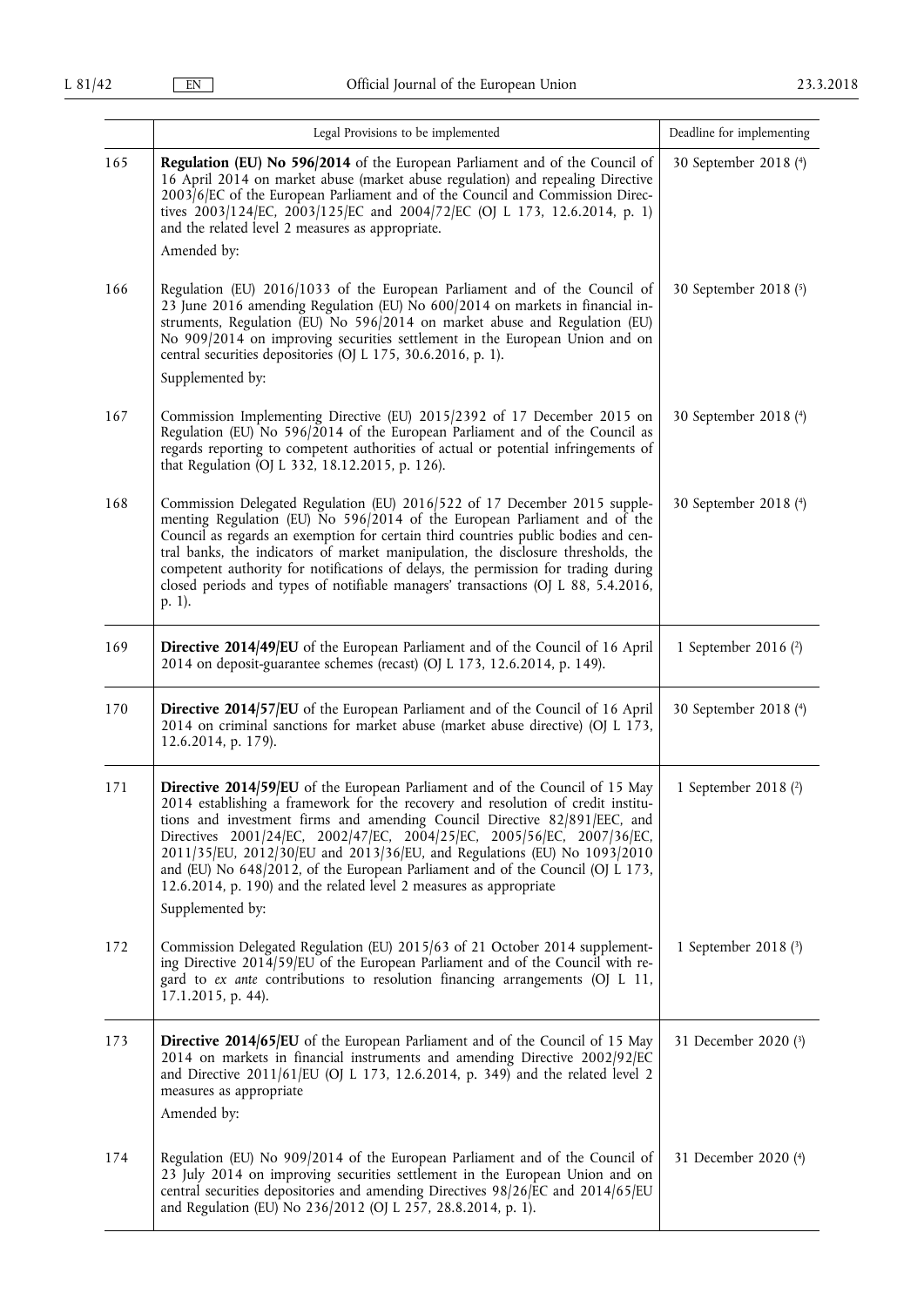|     | Legal Provisions to be implemented                                                                                                                                                                                                                                                                                                                                                                                                                                                                                                                                              | Deadline for implementing |
|-----|---------------------------------------------------------------------------------------------------------------------------------------------------------------------------------------------------------------------------------------------------------------------------------------------------------------------------------------------------------------------------------------------------------------------------------------------------------------------------------------------------------------------------------------------------------------------------------|---------------------------|
| 165 | Regulation (EU) No 596/2014 of the European Parliament and of the Council of<br>16 April 2014 on market abuse (market abuse regulation) and repealing Directive<br>2003/6/EC of the European Parliament and of the Council and Commission Direc-<br>tives 2003/124/EC, 2003/125/EC and 2004/72/EC (OJ L 173, 12.6.2014, p. 1)<br>and the related level 2 measures as appropriate.                                                                                                                                                                                               | 30 September 2018 (4)     |
|     | Amended by:                                                                                                                                                                                                                                                                                                                                                                                                                                                                                                                                                                     |                           |
| 166 | Regulation (EU) 2016/1033 of the European Parliament and of the Council of<br>23 June 2016 amending Regulation (EU) No 600/2014 on markets in financial in-<br>struments, Regulation (EU) No 596/2014 on market abuse and Regulation (EU)<br>No 909/2014 on improving securities settlement in the European Union and on<br>central securities depositories (OJ L 175, 30.6.2016, p. 1).<br>Supplemented by:                                                                                                                                                                    | 30 September 2018 (5)     |
| 167 | Commission Implementing Directive (EU) 2015/2392 of 17 December 2015 on<br>Regulation (EU) No 596/2014 of the European Parliament and of the Council as<br>regards reporting to competent authorities of actual or potential infringements of<br>that Regulation (OJ L 332, 18.12.2015, p. 126).                                                                                                                                                                                                                                                                                | 30 September 2018 (4)     |
| 168 | Commission Delegated Regulation (EU) 2016/522 of 17 December 2015 supple-<br>menting Regulation (EU) No 596/2014 of the European Parliament and of the<br>Council as regards an exemption for certain third countries public bodies and cen-<br>tral banks, the indicators of market manipulation, the disclosure thresholds, the<br>competent authority for notifications of delays, the permission for trading during<br>closed periods and types of notifiable managers' transactions (OJ L 88, 5.4.2016,<br>p. 1).                                                          | 30 September 2018 (4)     |
| 169 | Directive 2014/49/EU of the European Parliament and of the Council of 16 April<br>2014 on deposit-guarantee schemes (recast) (OJ L 173, 12.6.2014, p. 149).                                                                                                                                                                                                                                                                                                                                                                                                                     | 1 September 2016 (2)      |
| 170 | Directive 2014/57/EU of the European Parliament and of the Council of 16 April<br>2014 on criminal sanctions for market abuse (market abuse directive) (OJ L 173,<br>12.6.2014, p. 179).                                                                                                                                                                                                                                                                                                                                                                                        | 30 September 2018 (4)     |
| 171 | Directive 2014/59/EU of the European Parliament and of the Council of 15 May<br>2014 establishing a framework for the recovery and resolution of credit institu-<br>tions and investment firms and amending Council Directive 82/891/EEC, and<br>Directives 2001/24/EC, 2002/47/EC, 2004/25/EC, 2005/56/EC, 2007/36/EC,<br>2011/35/EU, 2012/30/EU and 2013/36/EU, and Regulations (EU) No 1093/2010<br>and (EU) No 648/2012, of the European Parliament and of the Council (OJ L 173,<br>12.6.2014, p. 190) and the related level 2 measures as appropriate<br>Supplemented by: | 1 September 2018 $(2)$    |
| 172 | Commission Delegated Regulation (EU) 2015/63 of 21 October 2014 supplement-<br>ing Directive 2014/59/EU of the European Parliament and of the Council with re-<br>gard to ex ante contributions to resolution financing arrangements (OJ L 11,<br>17.1.2015, p. 44).                                                                                                                                                                                                                                                                                                            | 1 September 2018 (3)      |
| 173 | <b>Directive 2014/65/EU</b> of the European Parliament and of the Council of 15 May<br>2014 on markets in financial instruments and amending Directive 2002/92/EC<br>and Directive $2011/61/EU$ (OJ L 173, 12.6.2014, p. 349) and the related level 2<br>measures as appropriate<br>Amended by:                                                                                                                                                                                                                                                                                 | 31 December 2020 (3)      |
| 174 | Regulation (EU) No 909/2014 of the European Parliament and of the Council of<br>23 July 2014 on improving securities settlement in the European Union and on<br>central securities depositories and amending Directives 98/26/EC and 2014/65/EU<br>and Regulation (EU) No 236/2012 (OJ L 257, 28.8.2014, p. 1).                                                                                                                                                                                                                                                                 | 31 December 2020 (4)      |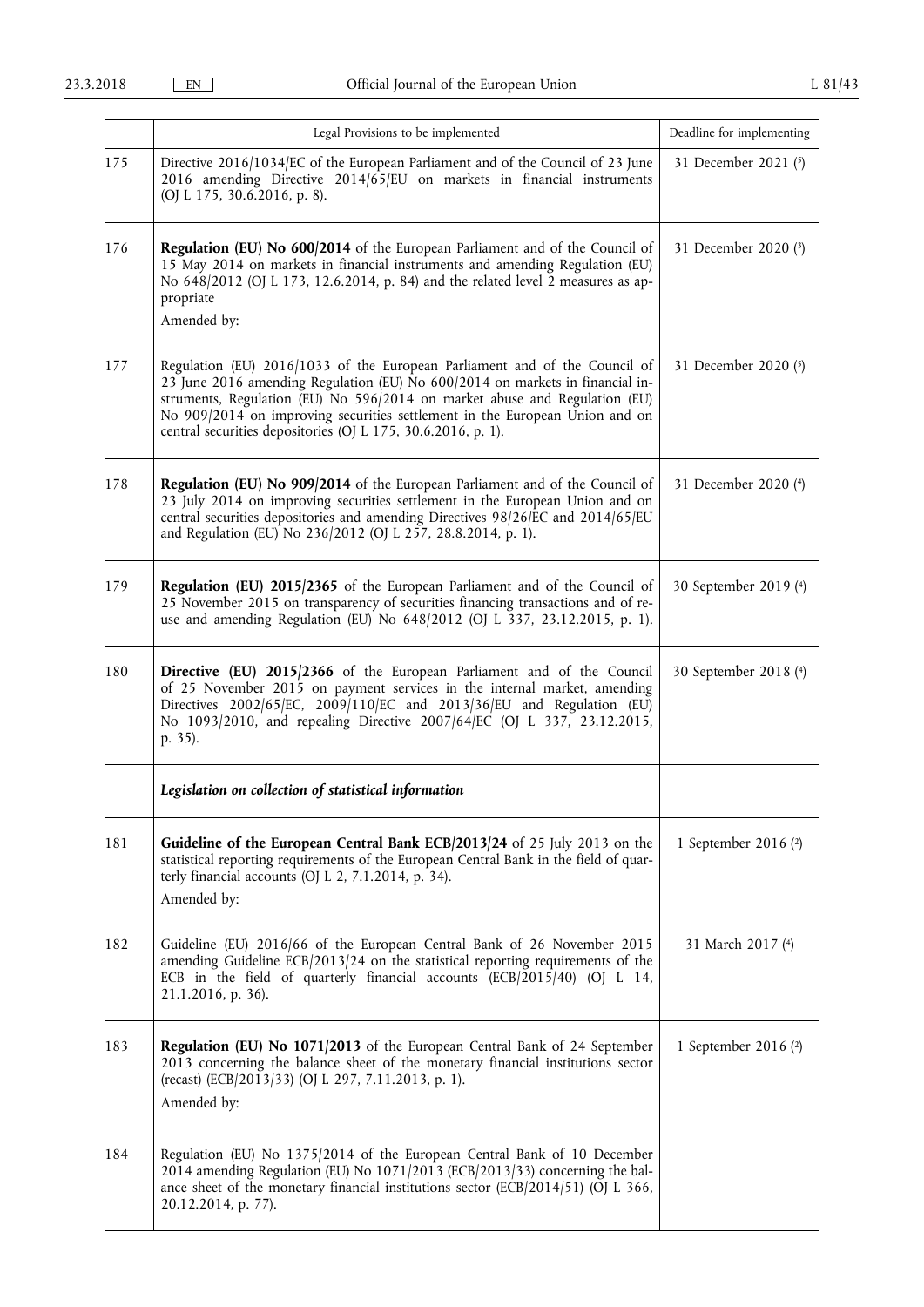|     | Legal Provisions to be implemented                                                                                                                                                                                                                                                                                                                                                       | Deadline for implementing |
|-----|------------------------------------------------------------------------------------------------------------------------------------------------------------------------------------------------------------------------------------------------------------------------------------------------------------------------------------------------------------------------------------------|---------------------------|
| 175 | Directive 2016/1034/EC of the European Parliament and of the Council of 23 June<br>2016 amending Directive $2014/65/EU$ on markets in financial instruments<br>(OJ L 175, 30.6.2016, p. 8).                                                                                                                                                                                              | 31 December 2021 (5)      |
| 176 | Regulation (EU) No 600/2014 of the European Parliament and of the Council of<br>15 May 2014 on markets in financial instruments and amending Regulation (EU)<br>No 648/2012 (OJ L 173, 12.6.2014, p. 84) and the related level 2 measures as ap-<br>propriate<br>Amended by:                                                                                                             | 31 December 2020 (3)      |
| 177 | Regulation (EU) 2016/1033 of the European Parliament and of the Council of<br>23 June 2016 amending Regulation (EU) No 600/2014 on markets in financial in-<br>struments, Regulation (EU) No 596/2014 on market abuse and Regulation (EU)<br>No 909/2014 on improving securities settlement in the European Union and on<br>central securities depositories (OJ L 175, 30.6.2016, p. 1). | 31 December 2020 (5)      |
| 178 | Regulation (EU) No 909/2014 of the European Parliament and of the Council of<br>23 July 2014 on improving securities settlement in the European Union and on<br>central securities depositories and amending Directives 98/26/EC and 2014/65/EU<br>and Regulation (EU) No 236/2012 (OJ L 257, 28.8.2014, p. 1).                                                                          | 31 December 2020 (4)      |
| 179 | Regulation (EU) 2015/2365 of the European Parliament and of the Council of<br>25 November 2015 on transparency of securities financing transactions and of re-<br>use and amending Regulation (EU) No 648/2012 (OJ L 337, 23.12.2015, p. 1).                                                                                                                                             | 30 September 2019 (4)     |
| 180 | Directive (EU) 2015/2366 of the European Parliament and of the Council<br>of 25 November 2015 on payment services in the internal market, amending<br>Directives $2002/65/EC$ , $2009/110/EC$ and $2013/36/EU$ and Regulation (EU)<br>No 1093/2010, and repealing Directive 2007/64/EC (OJ L 337, 23.12.2015,<br>p. 35).                                                                 | 30 September 2018 (4)     |
|     | Legislation on collection of statistical information                                                                                                                                                                                                                                                                                                                                     |                           |
| 181 | Guideline of the European Central Bank ECB/2013/24 of 25 July 2013 on the<br>statistical reporting requirements of the European Central Bank in the field of quar-<br>terly financial accounts (OJ L 2, 7.1.2014, p. 34).<br>Amended by:                                                                                                                                                 | 1 September 2016 (2)      |
| 182 | Guideline (EU) 2016/66 of the European Central Bank of 26 November 2015<br>amending Guideline ECB/2013/24 on the statistical reporting requirements of the<br>ECB in the field of quarterly financial accounts (ECB/2015/40) (OJ L 14,<br>21.1.2016, p. 36).                                                                                                                             | 31 March 2017 (4)         |
| 183 | Regulation (EU) No 1071/2013 of the European Central Bank of 24 September<br>2013 concerning the balance sheet of the monetary financial institutions sector<br>(recast) (ECB/2013/33) (OJ L 297, 7.11.2013, p. 1).<br>Amended by:                                                                                                                                                       | 1 September 2016 (2)      |
| 184 | Regulation (EU) No 1375/2014 of the European Central Bank of 10 December<br>2014 amending Regulation (EU) No 1071/2013 (ECB/2013/33) concerning the bal-<br>ance sheet of the monetary financial institutions sector (ECB/2014/51) (OJ L 366,<br>20.12.2014, p. 77).                                                                                                                     |                           |